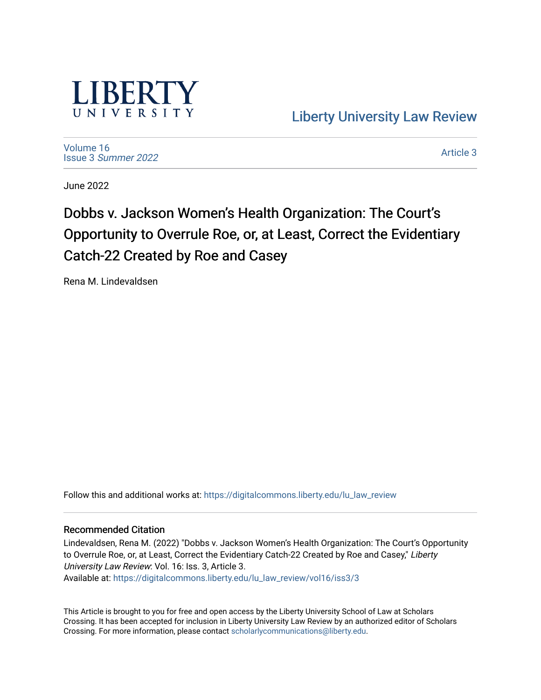

[Liberty University Law Review](https://digitalcommons.liberty.edu/lu_law_review) 

[Volume 16](https://digitalcommons.liberty.edu/lu_law_review/vol16) Issue 3 [Summer 2022](https://digitalcommons.liberty.edu/lu_law_review/vol16/iss3) 

[Article 3](https://digitalcommons.liberty.edu/lu_law_review/vol16/iss3/3) 

June 2022

# Dobbs v. Jackson Women's Health Organization: The Court's Opportunity to Overrule Roe, or, at Least, Correct the Evidentiary Catch-22 Created by Roe and Casey

Rena M. Lindevaldsen

Follow this and additional works at: [https://digitalcommons.liberty.edu/lu\\_law\\_review](https://digitalcommons.liberty.edu/lu_law_review?utm_source=digitalcommons.liberty.edu%2Flu_law_review%2Fvol16%2Fiss3%2F3&utm_medium=PDF&utm_campaign=PDFCoverPages) 

# Recommended Citation

Lindevaldsen, Rena M. (2022) "Dobbs v. Jackson Women's Health Organization: The Court's Opportunity to Overrule Roe, or, at Least, Correct the Evidentiary Catch-22 Created by Roe and Casey," Liberty University Law Review: Vol. 16: Iss. 3, Article 3. Available at: [https://digitalcommons.liberty.edu/lu\\_law\\_review/vol16/iss3/3](https://digitalcommons.liberty.edu/lu_law_review/vol16/iss3/3?utm_source=digitalcommons.liberty.edu%2Flu_law_review%2Fvol16%2Fiss3%2F3&utm_medium=PDF&utm_campaign=PDFCoverPages) 

This Article is brought to you for free and open access by the Liberty University School of Law at Scholars Crossing. It has been accepted for inclusion in Liberty University Law Review by an authorized editor of Scholars Crossing. For more information, please contact [scholarlycommunications@liberty.edu](mailto:scholarlycommunications@liberty.edu).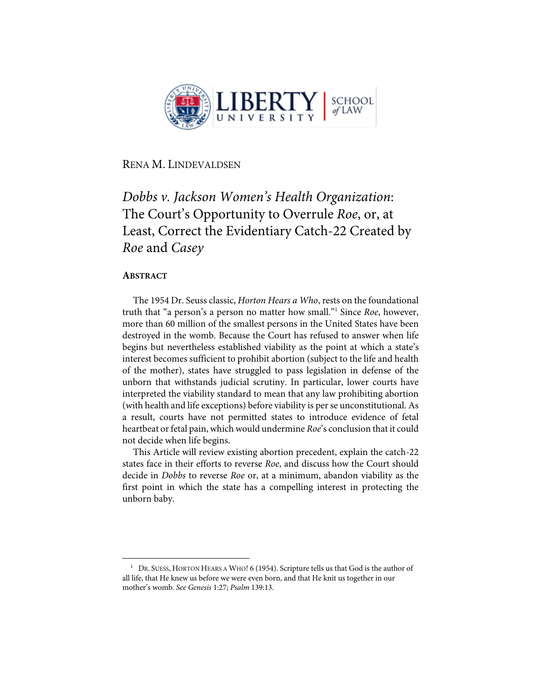

RENA M. LINDEVALDSEN

# *Dobbs v. Jackson Women's Health Organization*: The Court's Opportunity to Overrule *Roe*, or, at Least, Correct the Evidentiary Catch-22 Created by *Roe* and *Casey*

# **ABSTRACT**

The 1954 Dr. Seuss classic, *Horton Hears a Who*, rests on the foundational truth that "a person's a person no matter how small."1 Since *Roe*, however, more than 60 million of the smallest persons in the United States have been destroyed in the womb. Because the Court has refused to answer when life begins but nevertheless established viability as the point at which a state's interest becomes sufficient to prohibit abortion (subject to the life and health of the mother), states have struggled to pass legislation in defense of the unborn that withstands judicial scrutiny. In particular, lower courts have interpreted the viability standard to mean that any law prohibiting abortion (with health and life exceptions) before viability is per se unconstitutional. As a result, courts have not permitted states to introduce evidence of fetal heartbeat or fetal pain, which would undermine *Roe*'s conclusion that it could not decide when life begins.

This Article will review existing abortion precedent, explain the catch-22 states face in their efforts to reverse *Roe*, and discuss how the Court should decide in *Dobbs* to reverse *Roe* or, at a minimum, abandon viability as the first point in which the state has a compelling interest in protecting the unborn baby.

<sup>&</sup>lt;sup>1</sup> DR. SUESS, HORTON HEARS A WHO! 6 (1954). Scripture tells us that God is the author of all life, that He knew us before we were even born, and that He knit us together in our mother's womb. *See Genesis* 1:27; *Psalm* 139:13.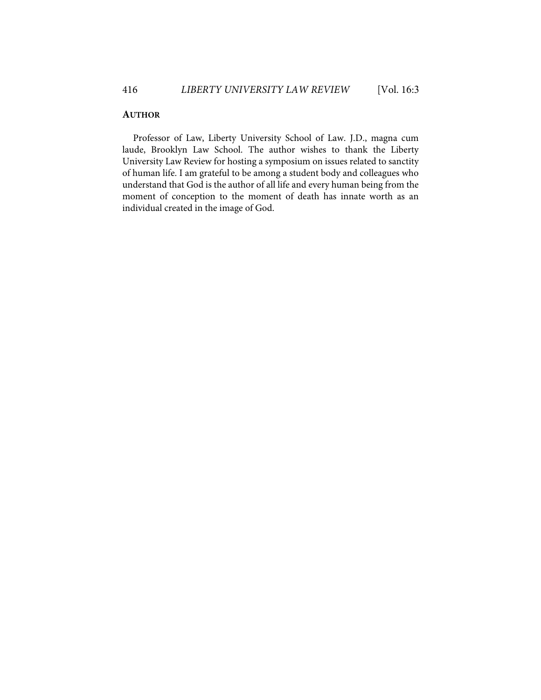### **AUTHOR**

Professor of Law, Liberty University School of Law. J.D., magna cum laude, Brooklyn Law School. The author wishes to thank the Liberty University Law Review for hosting a symposium on issues related to sanctity of human life. I am grateful to be among a student body and colleagues who understand that God is the author of all life and every human being from the moment of conception to the moment of death has innate worth as an individual created in the image of God.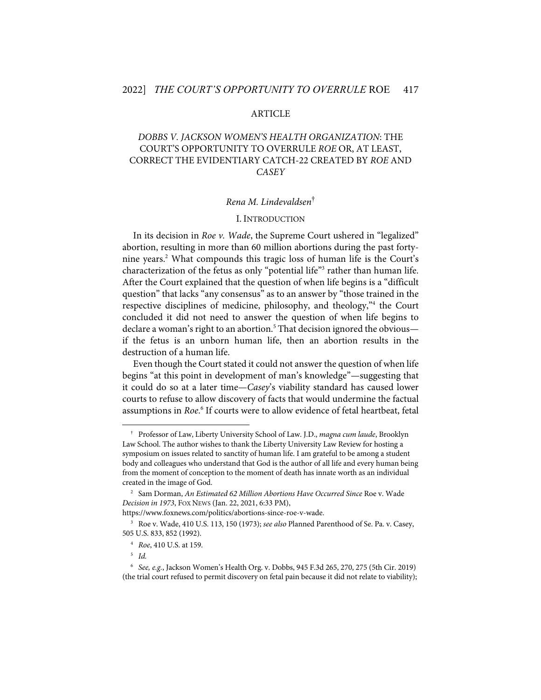#### ARTICLE

# *DOBBS V. JACKSON WOMEN'S HEALTH ORGANIZATION*: THE COURT'S OPPORTUNITY TO OVERRULE *ROE* OR, AT LEAST, CORRECT THE EVIDENTIARY CATCH-22 CREATED BY *ROE* AND *CASEY*

#### *Rena M. Lindevaldsen*†

#### I. INTRODUCTION

In its decision in *Roe v. Wade*, the Supreme Court ushered in "legalized" abortion, resulting in more than 60 million abortions during the past fortynine years.2 What compounds this tragic loss of human life is the Court's characterization of the fetus as only "potential life"<sup>3</sup> rather than human life. After the Court explained that the question of when life begins is a "difficult question" that lacks "any consensus" as to an answer by "those trained in the respective disciplines of medicine, philosophy, and theology,"<sup>4</sup> the Court concluded it did not need to answer the question of when life begins to declare a woman's right to an abortion.<sup>5</sup> That decision ignored the obvious if the fetus is an unborn human life, then an abortion results in the destruction of a human life.

Even though the Court stated it could not answer the question of when life begins "at this point in development of man's knowledge"—suggesting that it could do so at a later time—*Casey*'s viability standard has caused lower courts to refuse to allow discovery of facts that would undermine the factual assumptions in *Roe*. <sup>6</sup> If courts were to allow evidence of fetal heartbeat, fetal

<sup>†</sup> Professor of Law, Liberty University School of Law. J.D., *magna cum laude*, Brooklyn Law School. The author wishes to thank the Liberty University Law Review for hosting a symposium on issues related to sanctity of human life. I am grateful to be among a student body and colleagues who understand that God is the author of all life and every human being from the moment of conception to the moment of death has innate worth as an individual created in the image of God.

<sup>2</sup> Sam Dorman, *An Estimated 62 Million Abortions Have Occurred Since* Roe v. Wade *Decision in 1973*, FOX NEWS (Jan. 22, 2021, 6:33 PM),

https://www.foxnews.com/politics/abortions-since-roe-v-wade.

<sup>3</sup> Roe v. Wade, 410 U.S. 113, 150 (1973); *see also* Planned Parenthood of Se. Pa. v. Casey, 505 U.S. 833, 852 (1992).

<sup>4</sup> *Roe*, 410 U.S. at 159.

<sup>5</sup> *Id.*

<sup>6</sup> *See, e.g.*, Jackson Women's Health Org. v. Dobbs, 945 F.3d 265, 270, 275 (5th Cir. 2019) (the trial court refused to permit discovery on fetal pain because it did not relate to viability);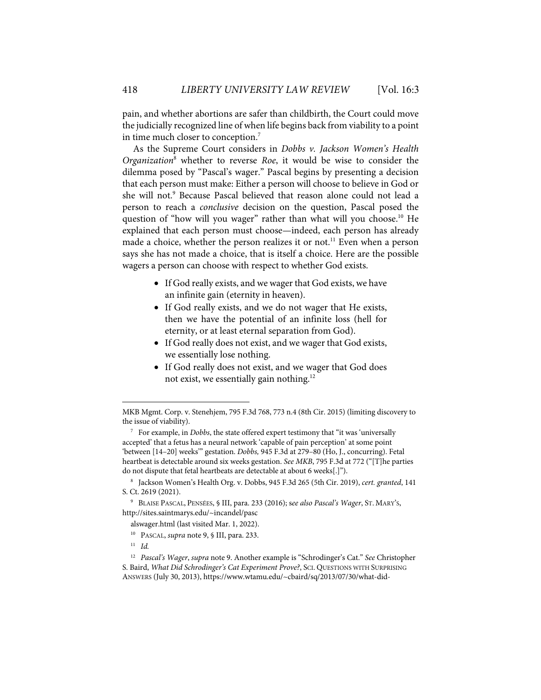pain, and whether abortions are safer than childbirth, the Court could move the judicially recognized line of when life begins back from viability to a point in time much closer to conception.<sup>7</sup>

As the Supreme Court considers in *Dobbs v. Jackson Women's Health Organization*<sup>8</sup> whether to reverse *Roe*, it would be wise to consider the dilemma posed by "Pascal's wager." Pascal begins by presenting a decision that each person must make: Either a person will choose to believe in God or she will not.<sup>9</sup> Because Pascal believed that reason alone could not lead a person to reach a *conclusive* decision on the question, Pascal posed the question of "how will you wager" rather than what will you choose.<sup>10</sup> He explained that each person must choose—indeed, each person has already made a choice, whether the person realizes it or not.<sup>11</sup> Even when a person says she has not made a choice, that is itself a choice. Here are the possible wagers a person can choose with respect to whether God exists.

- If God really exists, and we wager that God exists, we have an infinite gain (eternity in heaven).
- If God really exists, and we do not wager that He exists, then we have the potential of an infinite loss (hell for eternity, or at least eternal separation from God).
- If God really does not exist, and we wager that God exists, we essentially lose nothing.
- If God really does not exist, and we wager that God does not exist, we essentially gain nothing.12

MKB Mgmt. Corp. v. Stenehjem, 795 F.3d 768, 773 n.4 (8th Cir. 2015) (limiting discovery to the issue of viability).

<sup>7</sup> For example, in *Dobbs*, the state offered expert testimony that "it was 'universally accepted' that a fetus has a neural network 'capable of pain perception' at some point 'between [14–20] weeks'" gestation. *Dobbs,* 945 F.3d at 279–80 (Ho, J., concurring). Fetal heartbeat is detectable around six weeks gestation. *See MKB*, 795 F.3d at 772 ("[T]he parties do not dispute that fetal heartbeats are detectable at about 6 weeks[.]").

<sup>8</sup> Jackson Women's Health Org. v. Dobbs, 945 F.3d 265 (5th Cir. 2019), *cert. granted*, 141 S. Ct. 2619 (2021).

<sup>9</sup> BLAISE PASCAL, PENSÉES, § III, para. 233 (2016); s*ee also Pascal's Wager*, ST. MARY'S, http://sites.saintmarys.edu/~incandel/pasc

alswager.html (last visited Mar. 1, 2022).

<sup>10</sup> PASCAL, *supra* note 9, § III, para. 233.

<sup>11</sup> *Id.*

<sup>12</sup> *Pascal's Wager*, *supra* note 9. Another example is "Schrodinger's Cat." *See* Christopher S. Baird, *What Did Schrodinger's Cat Experiment Prove?*, SCI. QUESTIONS WITH SURPRISING ANSWERS (July 30, 2013), https://www.wtamu.edu/~cbaird/sq/2013/07/30/what-did-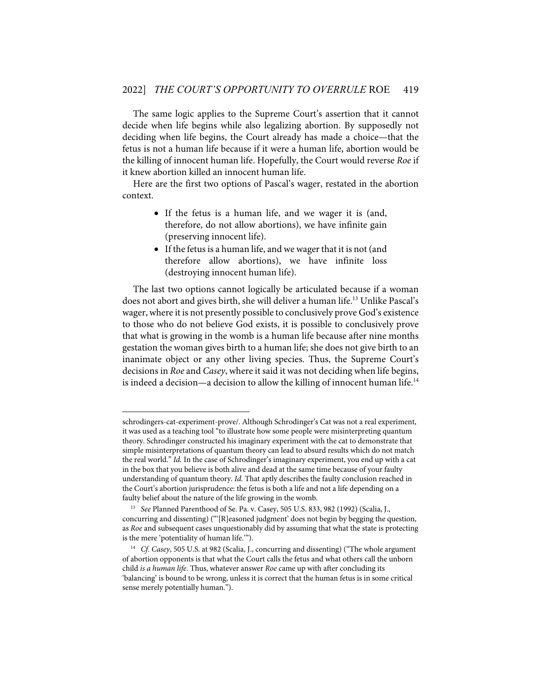The same logic applies to the Supreme Court's assertion that it cannot decide when life begins while also legalizing abortion. By supposedly not deciding when life begins, the Court already has made a choice—that the fetus is not a human life because if it were a human life, abortion would be the killing of innocent human life. Hopefully, the Court would reverse *Roe* if it knew abortion killed an innocent human life.

Here are the first two options of Pascal's wager, restated in the abortion context.

- If the fetus is a human life, and we wager it is (and, therefore, do not allow abortions), we have infinite gain (preserving innocent life).
- If the fetus is a human life, and we wager that it is not (and therefore allow abortions), we have infinite loss (destroying innocent human life).

The last two options cannot logically be articulated because if a woman does not abort and gives birth, she will deliver a human life.<sup>13</sup> Unlike Pascal's wager, where it is not presently possible to conclusively prove God's existence to those who do not believe God exists, it is possible to conclusively prove that what is growing in the womb is a human life because after nine months gestation the woman gives birth to a human life; she does not give birth to an inanimate object or any other living species. Thus, the Supreme Court's decisions in *Roe* and *Casey*, where it said it was not deciding when life begins, is indeed a decision—a decision to allow the killing of innocent human life.<sup>14</sup>

schrodingers-cat-experiment-prove/. Although Schrodinger's Cat was not a real experiment, it was used as a teaching tool "to illustrate how some people were misinterpreting quantum theory. Schrodinger constructed his imaginary experiment with the cat to demonstrate that simple misinterpretations of quantum theory can lead to absurd results which do not match the real world." *Id.* In the case of Schrodinger's imaginary experiment, you end up with a cat in the box that you believe is both alive and dead at the same time because of your faulty understanding of quantum theory. *Id.* That aptly describes the faulty conclusion reached in the Court's abortion jurisprudence: the fetus is both a life and not a life depending on a faulty belief about the nature of the life growing in the womb.

<sup>13</sup> *See* Planned Parenthood of Se. Pa. v. Casey, 505 U.S. 833, 982 (1992) (Scalia, J., concurring and dissenting) ("'[R]easoned judgment' does not begin by begging the question, as *Roe* and subsequent cases unquestionably did by assuming that what the state is protecting is the mere 'potentiality of human life.'").

<sup>14</sup> *Cf. Casey*, 505 U.S. at 982 (Scalia, J., concurring and dissenting) ("The whole argument of abortion opponents is that what the Court calls the fetus and what others call the unborn child *is a human life*. Thus, whatever answer *Roe* came up with after concluding its 'balancing' is bound to be wrong, unless it is correct that the human fetus is in some critical sense merely potentially human.").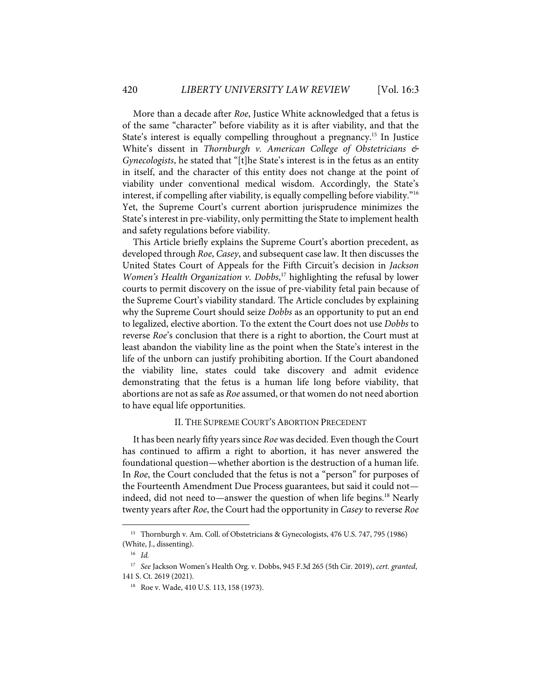More than a decade after *Roe*, Justice White acknowledged that a fetus is of the same "character" before viability as it is after viability, and that the State's interest is equally compelling throughout a pregnancy.<sup>15</sup> In Justice White's dissent in *Thornburgh v. American College of Obstetricians & Gynecologists*, he stated that "[t]he State's interest is in the fetus as an entity in itself, and the character of this entity does not change at the point of viability under conventional medical wisdom. Accordingly, the State's interest, if compelling after viability, is equally compelling before viability."16 Yet, the Supreme Court's current abortion jurisprudence minimizes the State's interest in pre-viability, only permitting the State to implement health and safety regulations before viability.

This Article briefly explains the Supreme Court's abortion precedent, as developed through *Roe*, *Casey*, and subsequent case law. It then discusses the United States Court of Appeals for the Fifth Circuit's decision in *Jackson Women's Health Organization v. Dobbs*, <sup>17</sup> highlighting the refusal by lower courts to permit discovery on the issue of pre-viability fetal pain because of the Supreme Court's viability standard. The Article concludes by explaining why the Supreme Court should seize *Dobbs* as an opportunity to put an end to legalized, elective abortion. To the extent the Court does not use *Dobbs* to reverse *Roe*'s conclusion that there is a right to abortion, the Court must at least abandon the viability line as the point when the State's interest in the life of the unborn can justify prohibiting abortion. If the Court abandoned the viability line, states could take discovery and admit evidence demonstrating that the fetus is a human life long before viability, that abortions are not as safe as *Roe* assumed, or that women do not need abortion to have equal life opportunities.

#### II. THE SUPREME COURT'S ABORTION PRECEDENT

It has been nearly fifty years since *Roe* was decided. Even though the Court has continued to affirm a right to abortion, it has never answered the foundational question—whether abortion is the destruction of a human life. In *Roe*, the Court concluded that the fetus is not a "person" for purposes of the Fourteenth Amendment Due Process guarantees, but said it could not indeed, did not need to—answer the question of when life begins.<sup>18</sup> Nearly twenty years after *Roe*, the Court had the opportunity in *Casey* to reverse *Roe*

<sup>&</sup>lt;sup>15</sup> Thornburgh v. Am. Coll. of Obstetricians & Gynecologists, 476 U.S. 747, 795 (1986) (White, J., dissenting).

<sup>16</sup> *Id.*

<sup>17</sup> *See* Jackson Women's Health Org. v. Dobbs, 945 F.3d 265 (5th Cir. 2019), *cert. granted*, 141 S. Ct. 2619 (2021).

<sup>&</sup>lt;sup>18</sup> Roe v. Wade, 410 U.S. 113, 158 (1973).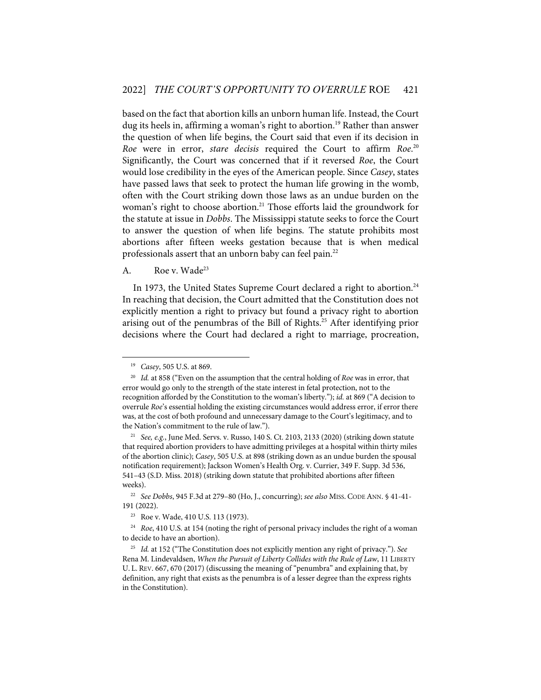based on the fact that abortion kills an unborn human life. Instead, the Court dug its heels in, affirming a woman's right to abortion.<sup>19</sup> Rather than answer the question of when life begins, the Court said that even if its decision in *Roe* were in error, *stare decisis* required the Court to affirm *Roe*. 20 Significantly, the Court was concerned that if it reversed *Roe*, the Court would lose credibility in the eyes of the American people. Since *Casey*, states have passed laws that seek to protect the human life growing in the womb, often with the Court striking down those laws as an undue burden on the woman's right to choose abortion.<sup>21</sup> Those efforts laid the groundwork for the statute at issue in *Dobbs*. The Mississippi statute seeks to force the Court to answer the question of when life begins. The statute prohibits most abortions after fifteen weeks gestation because that is when medical professionals assert that an unborn baby can feel pain.<sup>22</sup>

#### A. Roe v. Wade<sup>23</sup>

In 1973, the United States Supreme Court declared a right to abortion.<sup>24</sup> In reaching that decision, the Court admitted that the Constitution does not explicitly mention a right to privacy but found a privacy right to abortion arising out of the penumbras of the Bill of Rights.<sup>25</sup> After identifying prior decisions where the Court had declared a right to marriage, procreation,

<sup>19</sup> *Casey*, 505 U.S. at 869.

<sup>20</sup> *Id.* at 858 ("Even on the assumption that the central holding of *Roe* was in error, that error would go only to the strength of the state interest in fetal protection, not to the recognition afforded by the Constitution to the woman's liberty."); *id.* at 869 ("A decision to overrule *Roe*'s essential holding the existing circumstances would address error, if error there was, at the cost of both profound and unnecessary damage to the Court's legitimacy, and to the Nation's commitment to the rule of law.").

<sup>21</sup> *See, e.g.*, June Med. Servs. v. Russo, 140 S. Ct. 2103, 2133 (2020) (striking down statute that required abortion providers to have admitting privileges at a hospital within thirty miles of the abortion clinic); *Casey*, 505 U.S. at 898 (striking down as an undue burden the spousal notification requirement); Jackson Women's Health Org. v. Currier, 349 F. Supp. 3d 536, 541–43 (S.D. Miss. 2018) (striking down statute that prohibited abortions after fifteen weeks).

<sup>22</sup> *See Dobbs*, 945 F.3d at 279–80 (Ho, J., concurring); *see also* MISS. CODE ANN. § 41-41- 191 (2022).

<sup>23</sup> Roe v. Wade, 410 U.S. 113 (1973).

<sup>24</sup> *Roe*, 410 U.S. at 154 (noting the right of personal privacy includes the right of a woman to decide to have an abortion).

<sup>25</sup> *Id.* at 152 ("The Constitution does not explicitly mention any right of privacy."). *See* Rena M. Lindevaldsen, *When the Pursuit of Liberty Collides with the Rule of Law*, 11 LIBERTY U. L. REV. 667, 670 (2017) (discussing the meaning of "penumbra" and explaining that, by definition, any right that exists as the penumbra is of a lesser degree than the express rights in the Constitution).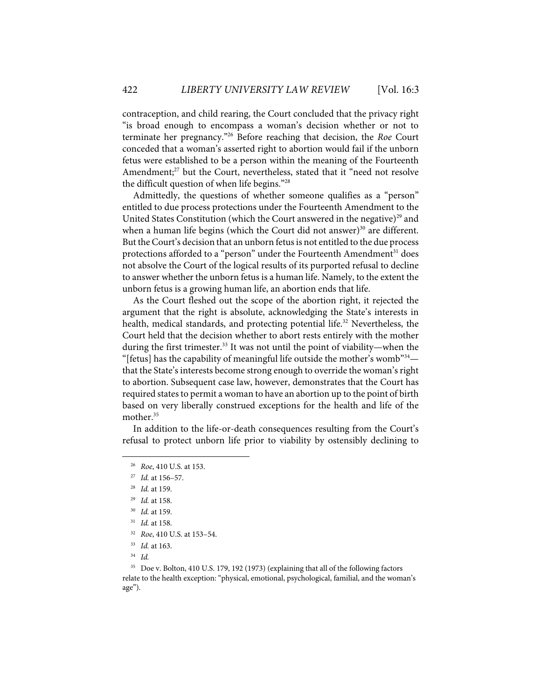contraception, and child rearing, the Court concluded that the privacy right "is broad enough to encompass a woman's decision whether or not to terminate her pregnancy."26 Before reaching that decision, the *Roe* Court conceded that a woman's asserted right to abortion would fail if the unborn fetus were established to be a person within the meaning of the Fourteenth Amendment; <sup>27</sup> but the Court, nevertheless, stated that it "need not resolve the difficult question of when life begins."28

Admittedly, the questions of whether someone qualifies as a "person" entitled to due process protections under the Fourteenth Amendment to the United States Constitution (which the Court answered in the negative)<sup>29</sup> and when a human life begins (which the Court did not answer) $30$  are different. But the Court's decision that an unborn fetus is not entitled to the due process protections afforded to a "person" under the Fourteenth Amendment<sup>31</sup> does not absolve the Court of the logical results of its purported refusal to decline to answer whether the unborn fetus is a human life. Namely, to the extent the unborn fetus is a growing human life, an abortion ends that life.

As the Court fleshed out the scope of the abortion right, it rejected the argument that the right is absolute, acknowledging the State's interests in health, medical standards, and protecting potential life.<sup>32</sup> Nevertheless, the Court held that the decision whether to abort rests entirely with the mother during the first trimester.<sup>33</sup> It was not until the point of viability—when the "[fetus] has the capability of meaningful life outside the mother's womb $^{34}$  that the State's interests become strong enough to override the woman's right to abortion. Subsequent case law, however, demonstrates that the Court has required states to permit a woman to have an abortion up to the point of birth based on very liberally construed exceptions for the health and life of the mother.<sup>35</sup>

In addition to the life-or-death consequences resulting from the Court's refusal to protect unborn life prior to viability by ostensibly declining to

32 *Roe*, 410 U.S. at 153–54.

<sup>26</sup> *Roe*, 410 U.S. at 153.

<sup>27</sup> *Id.* at 156–57.

<sup>28</sup> *Id.* at 159.

<sup>29</sup> *Id.* at 158.

<sup>30</sup> *Id.* at 159.

<sup>31</sup> *Id.* at 158.

<sup>33</sup> *Id.* at 163.

<sup>34</sup> *Id.* 

<sup>35</sup> Doe v. Bolton, 410 U.S. 179, 192 (1973) (explaining that all of the following factors relate to the health exception: "physical, emotional, psychological, familial, and the woman's age").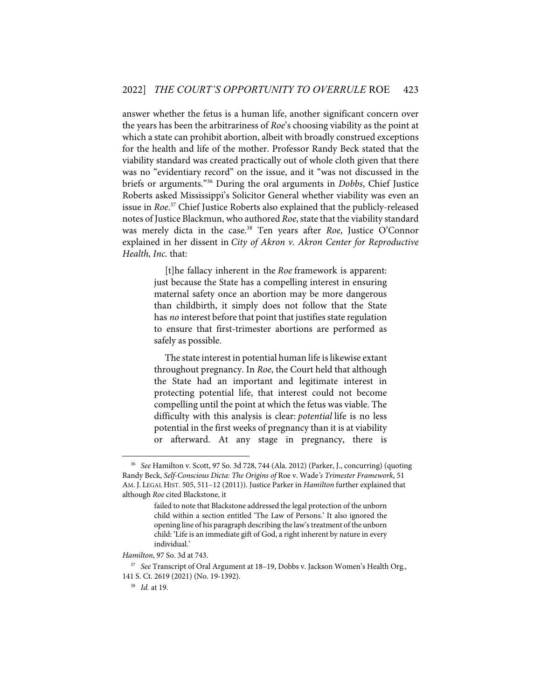answer whether the fetus is a human life, another significant concern over the years has been the arbitrariness of *Roe*'s choosing viability as the point at which a state can prohibit abortion, albeit with broadly construed exceptions for the health and life of the mother. Professor Randy Beck stated that the viability standard was created practically out of whole cloth given that there was no "evidentiary record" on the issue, and it "was not discussed in the briefs or arguments."36 During the oral arguments in *Dobbs*, Chief Justice Roberts asked Mississippi's Solicitor General whether viability was even an issue in *Roe*. <sup>37</sup> Chief Justice Roberts also explained that the publicly-released notes of Justice Blackmun, who authored *Roe*, state that the viability standard was merely dicta in the case.38 Ten years after *Roe*, Justice O'Connor explained in her dissent in *City of Akron v. Akron Center for Reproductive Health, Inc.* that:

> [t]he fallacy inherent in the *Roe* framework is apparent: just because the State has a compelling interest in ensuring maternal safety once an abortion may be more dangerous than childbirth, it simply does not follow that the State has *no* interest before that point that justifies state regulation to ensure that first-trimester abortions are performed as safely as possible.

> The state interest in potential human life is likewise extant throughout pregnancy. In *Roe*, the Court held that although the State had an important and legitimate interest in protecting potential life, that interest could not become compelling until the point at which the fetus was viable. The difficulty with this analysis is clear: *potential* life is no less potential in the first weeks of pregnancy than it is at viability or afterward. At any stage in pregnancy, there is

<sup>36</sup> *See* Hamilton v. Scott, 97 So. 3d 728, 744 (Ala. 2012) (Parker, J., concurring) (quoting Randy Beck, *Self-Conscious Dicta: The Origins of* Roe v. Wade*'s Trimester Framework*, 51 AM. J. LEGAL HIST. 505, 511–12 (2011)). Justice Parker in *Hamilton* further explained that although *Roe* cited Blackstone, it

failed to note that Blackstone addressed the legal protection of the unborn child within a section entitled 'The Law of Persons.' It also ignored the opening line of his paragraph describing the law's treatment of the unborn child: 'Life is an immediate gift of God, a right inherent by nature in every individual.'

*Hamilton*, 97 So. 3d at 743.

<sup>37</sup> *See* Transcript of Oral Argument at 18–19, Dobbs v. Jackson Women's Health Org., 141 S. Ct. 2619 (2021) (No. 19-1392).

<sup>38</sup> *Id.* at 19.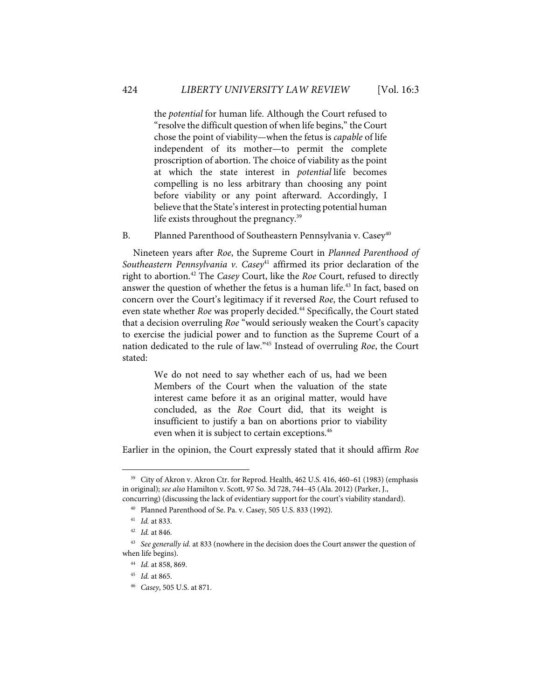the *potential* for human life. Although the Court refused to "resolve the difficult question of when life begins," the Court chose the point of viability—when the fetus is *capable* of life independent of its mother—to permit the complete proscription of abortion. The choice of viability as the point at which the state interest in *potential* life becomes compelling is no less arbitrary than choosing any point before viability or any point afterward. Accordingly, I believe that the State's interest in protecting potential human life exists throughout the pregnancy.<sup>39</sup>

B. Planned Parenthood of Southeastern Pennsylvania v. Casey<sup>40</sup>

Nineteen years after *Roe*, the Supreme Court in *Planned Parenthood of*  Southeastern Pennsylvania v. Casey<sup>41</sup> affirmed its prior declaration of the right to abortion.42 The *Casey* Court, like the *Roe* Court, refused to directly answer the question of whether the fetus is a human life.<sup>43</sup> In fact, based on concern over the Court's legitimacy if it reversed *Roe*, the Court refused to even state whether *Roe* was properly decided.<sup>44</sup> Specifically, the Court stated that a decision overruling *Roe* "would seriously weaken the Court's capacity to exercise the judicial power and to function as the Supreme Court of a nation dedicated to the rule of law."45 Instead of overruling *Roe*, the Court stated:

> We do not need to say whether each of us, had we been Members of the Court when the valuation of the state interest came before it as an original matter, would have concluded, as the *Roe* Court did, that its weight is insufficient to justify a ban on abortions prior to viability even when it is subject to certain exceptions.<sup>46</sup>

Earlier in the opinion, the Court expressly stated that it should affirm *Roe*

<sup>&</sup>lt;sup>39</sup> City of Akron v. Akron Ctr. for Reprod. Health, 462 U.S. 416, 460-61 (1983) (emphasis in original); *see also* Hamilton v. Scott, 97 So. 3d 728, 744–45 (Ala. 2012) (Parker, J.,

concurring) (discussing the lack of evidentiary support for the court's viability standard). 40 Planned Parenthood of Se. Pa. v. Casey, 505 U.S. 833 (1992).

<sup>41</sup> *Id.* at 833.

<sup>42</sup> *Id.* at 846.

<sup>43</sup> *See generally id.* at 833 (nowhere in the decision does the Court answer the question of when life begins).

<sup>44</sup> *Id.* at 858, 869.

<sup>45</sup> *Id.* at 865.

<sup>46</sup> *Casey*, 505 U.S. at 871.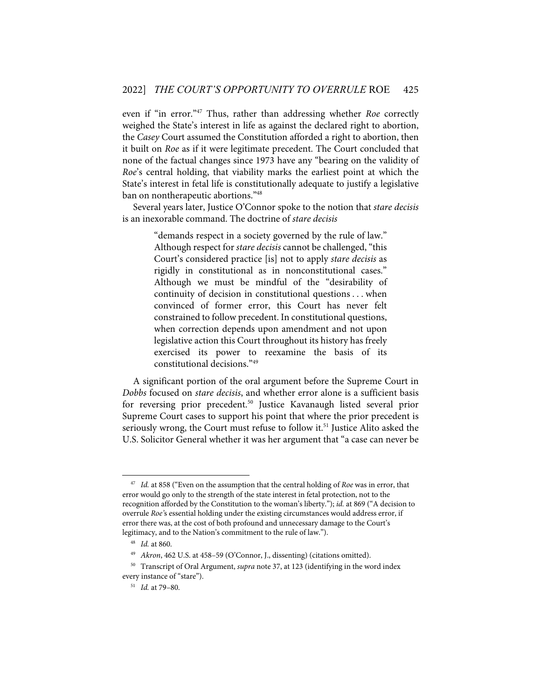even if "in error."47 Thus, rather than addressing whether *Roe* correctly weighed the State's interest in life as against the declared right to abortion, the *Casey* Court assumed the Constitution afforded a right to abortion, then it built on *Roe* as if it were legitimate precedent. The Court concluded that none of the factual changes since 1973 have any "bearing on the validity of *Roe*'s central holding, that viability marks the earliest point at which the State's interest in fetal life is constitutionally adequate to justify a legislative ban on nontherapeutic abortions."48

Several years later, Justice O'Connor spoke to the notion that *stare decisis* is an inexorable command. The doctrine of *stare decisis*

> "demands respect in a society governed by the rule of law." Although respect for *stare decisis* cannot be challenged, "this Court's considered practice [is] not to apply *stare decisis* as rigidly in constitutional as in nonconstitutional cases." Although we must be mindful of the "desirability of continuity of decision in constitutional questions . . . when convinced of former error, this Court has never felt constrained to follow precedent. In constitutional questions, when correction depends upon amendment and not upon legislative action this Court throughout its history has freely exercised its power to reexamine the basis of its constitutional decisions."49

A significant portion of the oral argument before the Supreme Court in *Dobbs* focused on *stare decisis*, and whether error alone is a sufficient basis for reversing prior precedent.<sup>50</sup> Justice Kavanaugh listed several prior Supreme Court cases to support his point that where the prior precedent is seriously wrong, the Court must refuse to follow it.<sup>51</sup> Justice Alito asked the U.S. Solicitor General whether it was her argument that "a case can never be

<sup>47</sup> *Id.* at 858 ("Even on the assumption that the central holding of *Roe* was in error, that error would go only to the strength of the state interest in fetal protection, not to the recognition afforded by the Constitution to the woman's liberty."); *id.* at 869 ("A decision to overrule *Roe'*s essential holding under the existing circumstances would address error, if error there was, at the cost of both profound and unnecessary damage to the Court's legitimacy, and to the Nation's commitment to the rule of law.").

<sup>48</sup> *Id.* at 860.

<sup>49</sup> *Akron*, 462 U.S. at 458–59 (O'Connor, J., dissenting) (citations omitted).

<sup>50</sup> Transcript of Oral Argument, *supra* note 37, at 123 (identifying in the word index every instance of "stare").

<sup>51</sup> *Id.* at 79–80.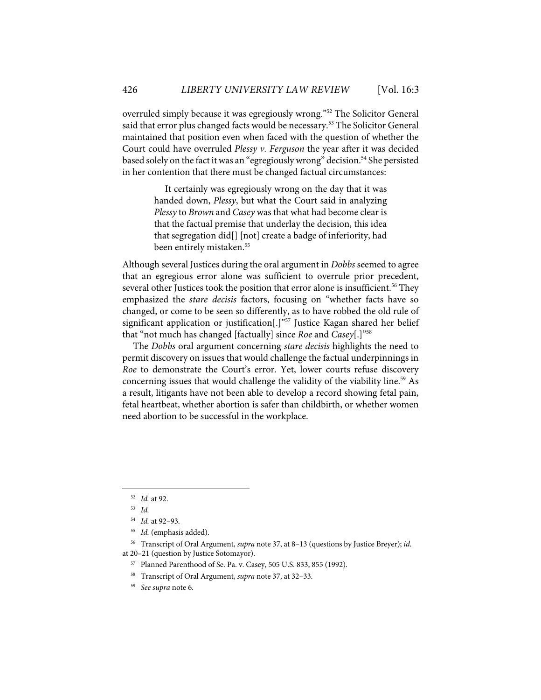overruled simply because it was egregiously wrong."52 The Solicitor General said that error plus changed facts would be necessary.<sup>53</sup> The Solicitor General maintained that position even when faced with the question of whether the Court could have overruled *Plessy v. Ferguson* the year after it was decided based solely on the fact it was an "egregiously wrong" decision.<sup>54</sup> She persisted in her contention that there must be changed factual circumstances:

> It certainly was egregiously wrong on the day that it was handed down, *Plessy*, but what the Court said in analyzing *Plessy* to *Brown* and *Casey* was that what had become clear is that the factual premise that underlay the decision, this idea that segregation did[] [not] create a badge of inferiority, had been entirely mistaken.<sup>55</sup>

Although several Justices during the oral argument in *Dobbs* seemed to agree that an egregious error alone was sufficient to overrule prior precedent, several other Justices took the position that error alone is insufficient. <sup>56</sup> They emphasized the *stare decisis* factors, focusing on "whether facts have so changed, or come to be seen so differently, as to have robbed the old rule of significant application or justification[.]"<sup>57</sup> Justice Kagan shared her belief that "not much has changed [factually] since *Roe* and *Casey*[.]"58

The *Dobbs* oral argument concerning *stare decisis* highlights the need to permit discovery on issues that would challenge the factual underpinnings in *Roe* to demonstrate the Court's error. Yet, lower courts refuse discovery concerning issues that would challenge the validity of the viability line.<sup>59</sup> As a result, litigants have not been able to develop a record showing fetal pain, fetal heartbeat, whether abortion is safer than childbirth, or whether women need abortion to be successful in the workplace.

- 57 Planned Parenthood of Se. Pa. v. Casey, 505 U.S. 833, 855 (1992).
- 58 Transcript of Oral Argument, *supra* note 37, at 32–33.

<sup>52</sup> *Id.* at 92.

<sup>53</sup> *Id.*

<sup>54</sup> *Id.* at 92–93.

<sup>55</sup> *Id.* (emphasis added).

<sup>56</sup> Transcript of Oral Argument, *supra* note 37, at 8–13 (questions by Justice Breyer); *id.* at 20–21 (question by Justice Sotomayor).

<sup>59</sup> *See supra* note 6.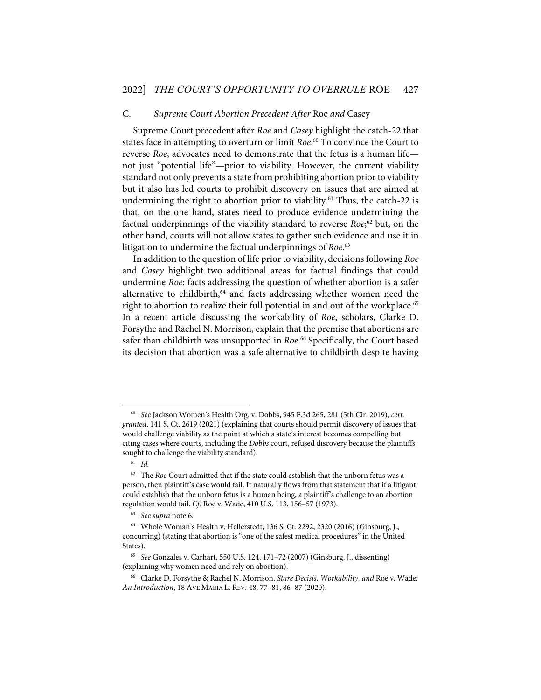#### C. *Supreme Court Abortion Precedent After* Roe *and* Casey

Supreme Court precedent after *Roe* and *Casey* highlight the catch-22 that states face in attempting to overturn or limit *Roe*. <sup>60</sup> To convince the Court to reverse *Roe*, advocates need to demonstrate that the fetus is a human life not just "potential life"—prior to viability. However, the current viability standard not only prevents a state from prohibiting abortion prior to viability but it also has led courts to prohibit discovery on issues that are aimed at undermining the right to abortion prior to viability. $61$  Thus, the catch-22 is that, on the one hand, states need to produce evidence undermining the factual underpinnings of the viability standard to reverse *Roe*; <sup>62</sup> but, on the other hand, courts will not allow states to gather such evidence and use it in litigation to undermine the factual underpinnings of *Roe*. 63

In addition to the question of life prior to viability, decisions following *Roe* and *Casey* highlight two additional areas for factual findings that could undermine *Roe*: facts addressing the question of whether abortion is a safer alternative to childbirth, <sup>64</sup> and facts addressing whether women need the right to abortion to realize their full potential in and out of the workplace.<sup>65</sup> In a recent article discussing the workability of *Roe*, scholars, Clarke D. Forsythe and Rachel N. Morrison, explain that the premise that abortions are safer than childbirth was unsupported in *Roe*. <sup>66</sup> Specifically, the Court based its decision that abortion was a safe alternative to childbirth despite having

<sup>60</sup> *See* Jackson Women's Health Org. v. Dobbs, 945 F.3d 265, 281 (5th Cir. 2019), *cert. granted*, 141 S. Ct. 2619 (2021) (explaining that courts should permit discovery of issues that would challenge viability as the point at which a state's interest becomes compelling but citing cases where courts, including the *Dobbs* court, refused discovery because the plaintiffs sought to challenge the viability standard).

<sup>61</sup> *Id.*

<sup>62</sup> The *Roe* Court admitted that if the state could establish that the unborn fetus was a person, then plaintiff's case would fail. It naturally flows from that statement that if a litigant could establish that the unborn fetus is a human being, a plaintiff's challenge to an abortion regulation would fail. *Cf.* Roe v. Wade, 410 U.S. 113, 156–57 (1973).

<sup>63</sup> *See supra* note 6.

<sup>64</sup> Whole Woman's Health v. Hellerstedt, 136 S. Ct. 2292, 2320 (2016) (Ginsburg, J., concurring) (stating that abortion is "one of the safest medical procedures" in the United States).

<sup>65</sup> *See* Gonzales v. Carhart, 550 U.S. 124, 171–72 (2007) (Ginsburg, J., dissenting) (explaining why women need and rely on abortion).

<sup>66</sup> Clarke D. Forsythe & Rachel N. Morrison, *Stare Decisis, Workability, and* Roe v. Wade*: An Introduction*, 18 AVE MARIA L. REV. 48, 77–81, 86–87 (2020).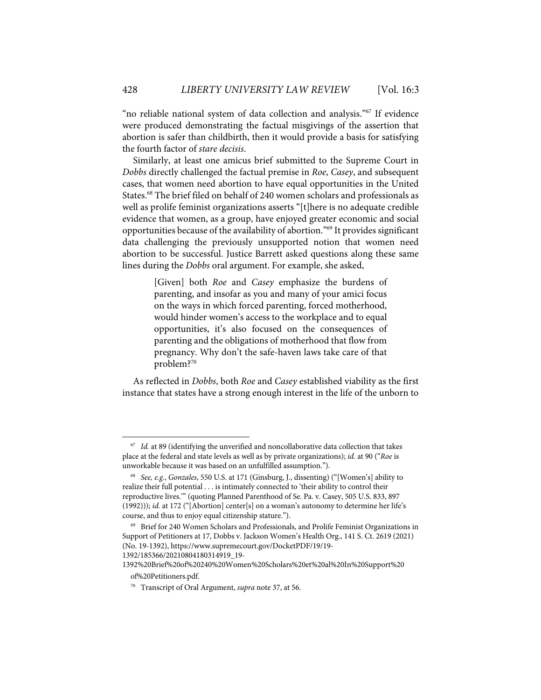"no reliable national system of data collection and analysis."67 If evidence were produced demonstrating the factual misgivings of the assertion that abortion is safer than childbirth, then it would provide a basis for satisfying the fourth factor of *stare decisis*.

Similarly, at least one amicus brief submitted to the Supreme Court in *Dobbs* directly challenged the factual premise in *Roe*, *Casey*, and subsequent cases, that women need abortion to have equal opportunities in the United States.<sup>68</sup> The brief filed on behalf of 240 women scholars and professionals as well as prolife feminist organizations asserts "[t]here is no adequate credible evidence that women, as a group, have enjoyed greater economic and social opportunities because of the availability of abortion."69 It provides significant data challenging the previously unsupported notion that women need abortion to be successful. Justice Barrett asked questions along these same lines during the *Dobbs* oral argument. For example, she asked,

> [Given] both *Roe* and *Casey* emphasize the burdens of parenting, and insofar as you and many of your amici focus on the ways in which forced parenting, forced motherhood, would hinder women's access to the workplace and to equal opportunities, it's also focused on the consequences of parenting and the obligations of motherhood that flow from pregnancy. Why don't the safe-haven laws take care of that problem?<sup>70</sup>

As reflected in *Dobbs*, both *Roe* and *Casey* established viability as the first instance that states have a strong enough interest in the life of the unborn to

<sup>67</sup> *Id.* at 89 (identifying the unverified and noncollaborative data collection that takes place at the federal and state levels as well as by private organizations); *id.* at 90 ("*Roe* is unworkable because it was based on an unfulfilled assumption.").

<sup>68</sup> *See, e.g.*, *Gonzales*, 550 U.S. at 171 (Ginsburg, J., dissenting) ("[Women's] ability to realize their full potential . . . is intimately connected to 'their ability to control their reproductive lives.'" (quoting Planned Parenthood of Se. Pa. v. Casey, 505 U.S. 833, 897 (1992))); *id.* at 172 ("[Abortion] center[s] on a woman's autonomy to determine her life's course, and thus to enjoy equal citizenship stature.").

<sup>69</sup> Brief for 240 Women Scholars and Professionals, and Prolife Feminist Organizations in Support of Petitioners at 17, Dobbs v. Jackson Women's Health Org., 141 S. Ct. 2619 (2021) (No. 19-1392), https://www.supremecourt.gov/DocketPDF/19/19-

<sup>1392/185366/20210804180314919</sup>\_19-

<sup>1392%20</sup>Brief%20of%20240%20Women%20Scholars%20et%20al%20In%20Support%20 of%20Petitioners.pdf.

<sup>70</sup> Transcript of Oral Argument, *supra* note 37, at 56.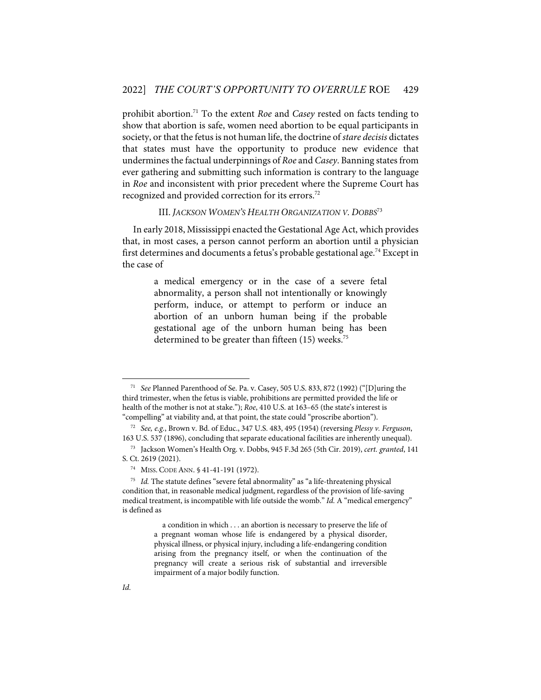prohibit abortion. <sup>71</sup> To the extent *Roe* and *Casey* rested on facts tending to show that abortion is safe, women need abortion to be equal participants in society, or that the fetus is not human life, the doctrine of *stare decisis* dictates that states must have the opportunity to produce new evidence that undermines the factual underpinnings of *Roe* and *Casey*. Banning statesfrom ever gathering and submitting such information is contrary to the language in *Roe* and inconsistent with prior precedent where the Supreme Court has recognized and provided correction for its errors. 72

III. *JACKSON WOMEN'S HEALTH ORGANIZATION V. DOBBS*<sup>73</sup>

In early 2018, Mississippi enacted the Gestational Age Act, which provides that, in most cases, a person cannot perform an abortion until a physician first determines and documents a fetus's probable gestational age.<sup>74</sup> Except in the case of

> a medical emergency or in the case of a severe fetal abnormality, a person shall not intentionally or knowingly perform, induce, or attempt to perform or induce an abortion of an unborn human being if the probable gestational age of the unborn human being has been determined to be greater than fifteen (15) weeks.<sup>75</sup>

<sup>71</sup> *See* Planned Parenthood of Se. Pa. v. Casey, 505 U.S. 833, 872 (1992) ("[D]uring the third trimester, when the fetus is viable, prohibitions are permitted provided the life or health of the mother is not at stake."); *Roe*, 410 U.S. at 163–65 (the state's interest is "compelling" at viability and, at that point, the state could "proscribe abortion").

<sup>72</sup> *See, e.g.*, Brown v. Bd. of Educ., 347 U.S. 483, 495 (1954) (reversing *Plessy v. Ferguson*, 163 U.S. 537 (1896), concluding that separate educational facilities are inherently unequal).

<sup>73</sup> Jackson Women's Health Org. v. Dobbs, 945 F.3d 265 (5th Cir. 2019), *cert. granted*, 141 S. Ct. 2619 (2021).

<sup>74</sup> MISS. CODE ANN. § 41-41-191 (1972).

<sup>75</sup> *Id.* The statute defines "severe fetal abnormality" as "a life-threatening physical condition that, in reasonable medical judgment, regardless of the provision of life-saving medical treatment, is incompatible with life outside the womb." *Id.* A "medical emergency" is defined as

a condition in which . . . an abortion is necessary to preserve the life of a pregnant woman whose life is endangered by a physical disorder, physical illness, or physical injury, including a life-endangering condition arising from the pregnancy itself, or when the continuation of the pregnancy will create a serious risk of substantial and irreversible impairment of a major bodily function.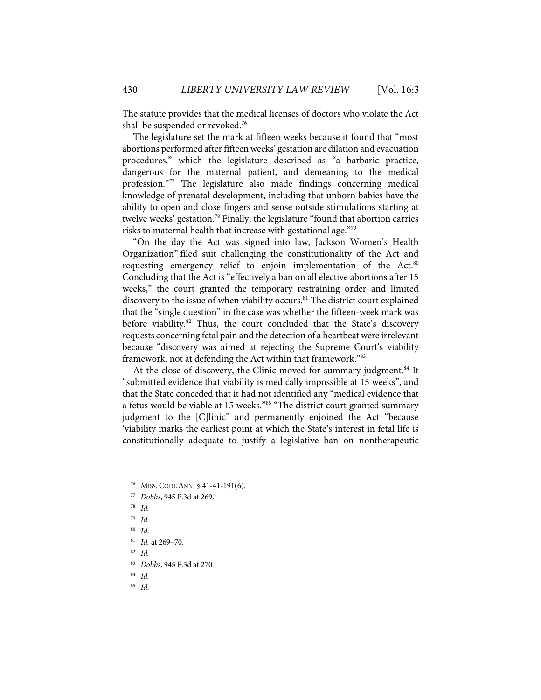The statute provides that the medical licenses of doctors who violate the Act shall be suspended or revoked. 76

The legislature set the mark at fifteen weeks because it found that "most abortions performed after fifteen weeks' gestation are dilation and evacuation procedures," which the legislature described as "a barbaric practice, dangerous for the maternal patient, and demeaning to the medical profession."77 The legislature also made findings concerning medical knowledge of prenatal development, including that unborn babies have the ability to open and close fingers and sense outside stimulations starting at twelve weeks' gestation.<sup>78</sup> Finally, the legislature "found that abortion carries risks to maternal health that increase with gestational age."79

"On the day the Act was signed into law, Jackson Women's Health Organization" filed suit challenging the constitutionality of the Act and requesting emergency relief to enjoin implementation of the Act.<sup>80</sup> Concluding that the Act is "effectively a ban on all elective abortions after 15 weeks," the court granted the temporary restraining order and limited discovery to the issue of when viability occurs.<sup>81</sup> The district court explained that the "single question" in the case was whether the fifteen-week mark was before viability.<sup>82</sup> Thus, the court concluded that the State's discovery requests concerning fetal pain and the detection of a heartbeat were irrelevant because "discovery was aimed at rejecting the Supreme Court's viability framework, not at defending the Act within that framework."83

At the close of discovery, the Clinic moved for summary judgment.<sup>84</sup> It "submitted evidence that viability is medically impossible at 15 weeks", and that the State conceded that it had not identified any "medical evidence that a fetus would be viable at 15 weeks."<sup>85</sup> "The district court granted summary judgment to the [C]linic" and permanently enjoined the Act "because 'viability marks the earliest point at which the State's interest in fetal life is constitutionally adequate to justify a legislative ban on nontherapeutic

<sup>76</sup> MISS. CODE ANN. § 41-41-191(6).

<sup>77</sup> *Dobbs*, 945 F.3d at 269.

<sup>78</sup> *Id.*

<sup>79</sup> *Id.*

<sup>80</sup> *Id.*

<sup>81</sup> *Id.* at 269–70.

<sup>82</sup> *Id.*

<sup>83</sup> *Dobbs*, 945 F.3d at 270*.*

<sup>84</sup> *Id.*

<sup>85</sup> *Id.*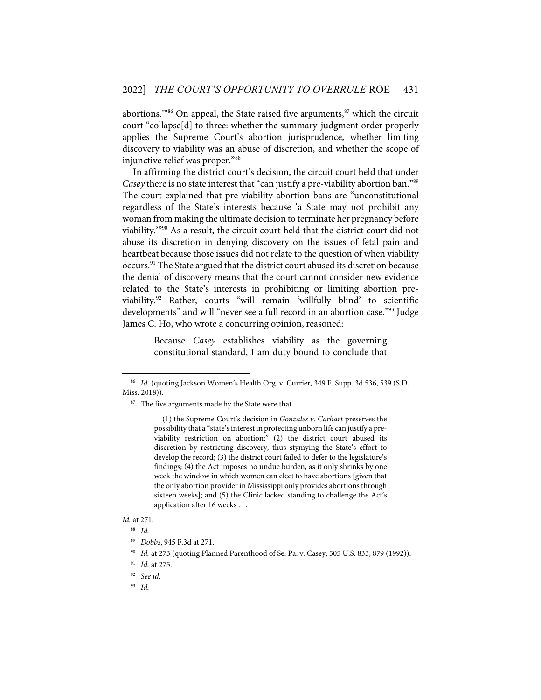abortions."<sup>86</sup> On appeal, the State raised five arguments,<sup>87</sup> which the circuit court "collapse[d] to three: whether the summary-judgment order properly applies the Supreme Court's abortion jurisprudence, whether limiting discovery to viability was an abuse of discretion, and whether the scope of injunctive relief was proper."88

In affirming the district court's decision, the circuit court held that under *Casey* there is no state interest that "can justify a pre-viability abortion ban."<sup>89</sup> The court explained that pre-viability abortion bans are "unconstitutional regardless of the State's interests because 'a State may not prohibit any woman from making the ultimate decision to terminate her pregnancy before viability.'"90 As a result, the circuit court held that the district court did not abuse its discretion in denying discovery on the issues of fetal pain and heartbeat because those issues did not relate to the question of when viability occurs.91 The State argued that the district court abused its discretion because the denial of discovery means that the court cannot consider new evidence related to the State's interests in prohibiting or limiting abortion previability. <sup>92</sup> Rather, courts "will remain 'willfully blind' to scientific developments" and will "never see a full record in an abortion case."<sup>93</sup> Judge James C. Ho, who wrote a concurring opinion, reasoned:

> Because *Casey* establishes viability as the governing constitutional standard, I am duty bound to conclude that

#### *Id.* at 271.

<sup>86</sup> *Id.* (quoting Jackson Women's Health Org. v. Currier, 349 F. Supp. 3d 536, 539 (S.D. Miss. 2018)).

<sup>&</sup>lt;sup>87</sup> The five arguments made by the State were that

<sup>(1)</sup> the Supreme Court's decision in *Gonzales v. Carhart* preserves the possibility that a "state's interest in protecting unborn life can justify a previability restriction on abortion;" (2) the district court abused its discretion by restricting discovery, thus stymying the State's effort to develop the record; (3) the district court failed to defer to the legislature's findings; (4) the Act imposes no undue burden, as it only shrinks by one week the window in which women can elect to have abortions [given that the only abortion provider in Mississippi only provides abortions through sixteen weeks]; and (5) the Clinic lacked standing to challenge the Act's application after 16 weeks . . . .

<sup>88</sup> *Id.*

<sup>89</sup> *Dobbs*, 945 F.3d at 271.

<sup>90</sup> *Id.* at 273 (quoting Planned Parenthood of Se. Pa. v. Casey, 505 U.S. 833, 879 (1992)).

<sup>91</sup> *Id.* at 275.

<sup>92</sup> *See id.*

<sup>93</sup> *Id.*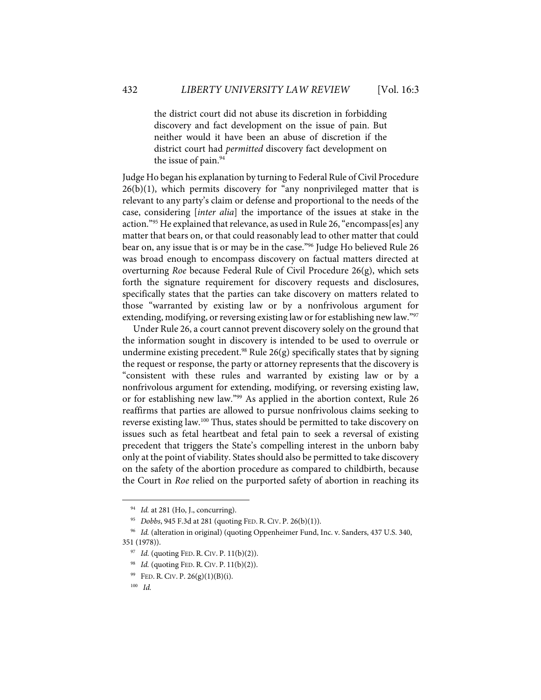the district court did not abuse its discretion in forbidding discovery and fact development on the issue of pain. But neither would it have been an abuse of discretion if the district court had *permitted* discovery fact development on the issue of pain.<sup>94</sup>

Judge Ho began his explanation by turning to Federal Rule of Civil Procedure  $26(b)(1)$ , which permits discovery for "any nonprivileged matter that is relevant to any party's claim or defense and proportional to the needs of the case, considering [*inter alia*] the importance of the issues at stake in the action."95 He explained that relevance, as used in Rule 26, "encompass[es] any matter that bears on, or that could reasonably lead to other matter that could bear on, any issue that is or may be in the case."96 Judge Ho believed Rule 26 was broad enough to encompass discovery on factual matters directed at overturning *Roe* because Federal Rule of Civil Procedure 26(g), which sets forth the signature requirement for discovery requests and disclosures, specifically states that the parties can take discovery on matters related to those "warranted by existing law or by a nonfrivolous argument for extending, modifying, or reversing existing law or for establishing new law."97

Under Rule 26, a court cannot prevent discovery solely on the ground that the information sought in discovery is intended to be used to overrule or undermine existing precedent.<sup>98</sup> Rule  $26(g)$  specifically states that by signing the request or response, the party or attorney represents that the discovery is "consistent with these rules and warranted by existing law or by a nonfrivolous argument for extending, modifying, or reversing existing law, or for establishing new law."99 As applied in the abortion context, Rule 26 reaffirms that parties are allowed to pursue nonfrivolous claims seeking to reverse existing law.100 Thus, states should be permitted to take discovery on issues such as fetal heartbeat and fetal pain to seek a reversal of existing precedent that triggers the State's compelling interest in the unborn baby only at the point of viability. States should also be permitted to take discovery on the safety of the abortion procedure as compared to childbirth, because the Court in *Roe* relied on the purported safety of abortion in reaching its

<sup>94</sup> *Id.* at 281 (Ho, J., concurring).

<sup>95</sup> *Dobbs*, 945 F.3d at 281 (quoting FED. R. CIV. P. 26(b)(1)).

<sup>96</sup> *Id.* (alteration in original) (quoting Oppenheimer Fund, Inc. v. Sanders, 437 U.S. 340, 351 (1978)).

<sup>&</sup>lt;sup>97</sup> *Id.* (quoting FED. R. CIV. P. 11(b)(2)).

<sup>98</sup> *Id.* (quoting FED. R. CIV. P. 11(b)(2)).

 $^{99}$  FED. R. CIV. P. 26(g)(1)(B)(i).

<sup>100</sup> *Id.*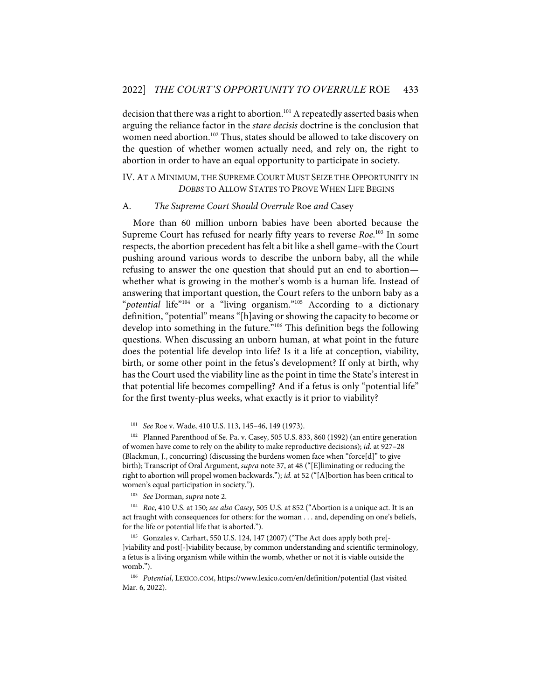decision that there was a right to abortion. <sup>101</sup> A repeatedly asserted basis when arguing the reliance factor in the *stare decisis* doctrine is the conclusion that women need abortion.<sup>102</sup> Thus, states should be allowed to take discovery on the question of whether women actually need, and rely on, the right to abortion in order to have an equal opportunity to participate in society.

# IV. AT A MINIMUM, THE SUPREME COURT MUST SEIZE THE OPPORTUNITY IN *DOBBS* TO ALLOW STATES TO PROVE WHEN LIFE BEGINS

#### A. *The Supreme Court Should Overrule* Roe *and* Casey

More than 60 million unborn babies have been aborted because the Supreme Court has refused for nearly fifty years to reverse *Roe*. <sup>103</sup> In some respects, the abortion precedent has felt a bit like a shell game–with the Court pushing around various words to describe the unborn baby, all the while refusing to answer the one question that should put an end to abortion whether what is growing in the mother's womb is a human life. Instead of answering that important question, the Court refers to the unborn baby as a "*potential* life<sup>"104</sup> or a "living organism."<sup>105</sup> According to a dictionary definition,"potential" means"[h]aving or showing the capacity to become or develop into something in the future."106 This definition begs the following questions. When discussing an unborn human, at what point in the future does the potential life develop into life? Is it a life at conception, viability, birth, or some other point in the fetus's development? If only at birth, why has the Court used the viability line as the point in time the State's interest in that potential life becomes compelling? And if a fetus is only "potential life" for the first twenty-plus weeks, what exactly is it prior to viability?

<sup>101</sup> *See* Roe v. Wade, 410 U.S. 113, 145–46, 149 (1973).

<sup>102</sup> Planned Parenthood of Se. Pa. v. Casey, 505 U.S. 833, 860 (1992) (an entire generation of women have come to rely on the ability to make reproductive decisions); *id.* at 927–28 (Blackmun, J., concurring) (discussing the burdens women face when "force[d]" to give birth); Transcript of Oral Argument, *supra* note 37, at 48 ("[E]liminating or reducing the right to abortion will propel women backwards."); *id.* at 52 ("[A]bortion has been critical to women's equal participation in society.").

<sup>103</sup> *See* Dorman, *supra* note 2.

<sup>104</sup> *Roe*, 410 U.S. at 150; *see also Casey*, 505 U.S. at 852 ("Abortion is a unique act. It is an act fraught with consequences for others: for the woman . . . and, depending on one's beliefs, for the life or potential life that is aborted.").

<sup>105</sup> Gonzales v. Carhart, 550 U.S. 124, 147 (2007) ("The Act does apply both pre[- ]viability and post[-]viability because, by common understanding and scientific terminology, a fetus is a living organism while within the womb, whether or not it is viable outside the womb.").

<sup>106</sup> *Potential*, LEXICO.COM, https://www.lexico.com/en/definition/potential (last visited Mar. 6, 2022).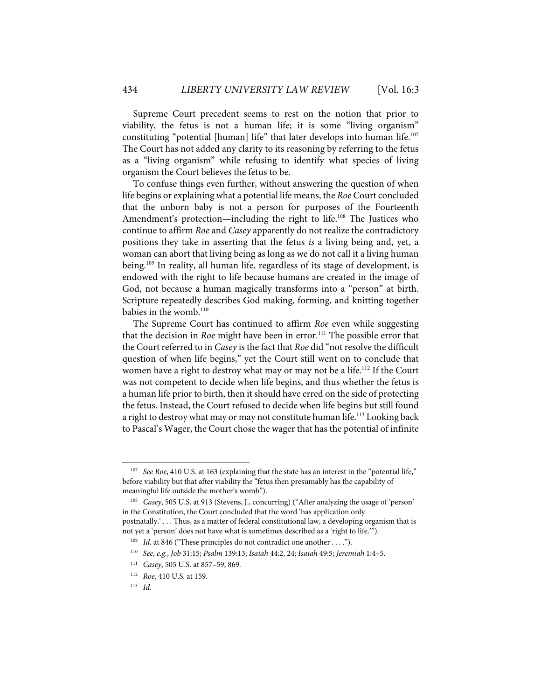Supreme Court precedent seems to rest on the notion that prior to viability, the fetus is not a human life; it is some "living organism" constituting "potential [human] life" that later develops into human life. 107 The Court has not added any clarity to its reasoning by referring to the fetus as a "living organism" while refusing to identify what species of living organism the Court believes the fetus to be.

To confuse things even further, without answering the question of when life begins or explaining what a potential life means, the *Roe* Court concluded that the unborn baby is not a person for purposes of the Fourteenth Amendment's protection—including the right to life. <sup>108</sup> The Justices who continue to affirm *Roe* and *Casey* apparently do not realize the contradictory positions they take in asserting that the fetus *is* a living being and, yet, a woman can abort that living being as long as we do not call it a living human being. <sup>109</sup> In reality, all human life, regardless of its stage of development, is endowed with the right to life because humans are created in the image of God, not because a human magically transforms into a "person" at birth. Scripture repeatedly describes God making, forming, and knitting together babies in the womb.<sup>110</sup>

The Supreme Court has continued to affirm *Roe* even while suggesting that the decision in *Roe* might have been in error. <sup>111</sup> The possible error that the Court referred to in *Casey* is the fact that *Roe* did "not resolve the difficult question of when life begins," yet the Court still went on to conclude that women have a right to destroy what may or may not be a life.<sup>112</sup> If the Court was not competent to decide when life begins, and thus whether the fetus is a human life prior to birth, then it should have erred on the side of protecting the fetus. Instead, the Court refused to decide when life begins but still found a right to destroy what may or may not constitute human life.<sup>113</sup> Looking back to Pascal's Wager, the Court chose the wager that has the potential of infinite

<sup>107</sup> *See Roe*, 410 U.S. at 163 (explaining that the state has an interest in the "potential life," before viability but that after viability the "fetus then presumably has the capability of meaningful life outside the mother's womb").

<sup>108</sup> *Casey*, 505 U.S. at 913 (Stevens, J., concurring) ("After analyzing the usage of 'person' in the Constitution, the Court concluded that the word 'has application only postnatally.' . . . Thus, as a matter of federal constitutional law, a developing organism that is not yet a 'person' does not have what is sometimes described as a 'right to life.'").

<sup>&</sup>lt;sup>109</sup> *Id.* at 846 ("These principles do not contradict one another ....").

<sup>110</sup> *See, e.g.*, *Job* 31:15; *Psalm* 139:13; *Isaiah* 44:2, 24; *Isaiah* 49:5; *Jeremiah* 1:4–5.

<sup>111</sup> *Casey*, 505 U.S. at 857–59, 869.

<sup>112</sup> *Roe*, 410 U.S. at 159.

<sup>113</sup> *Id.*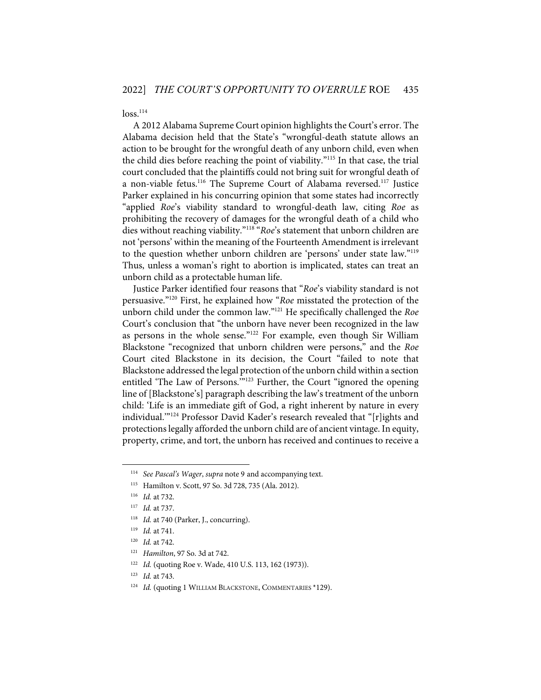$loss.<sup>114</sup>$ 

A 2012 Alabama Supreme Court opinion highlights the Court's error. The Alabama decision held that the State's "wrongful-death statute allows an action to be brought for the wrongful death of any unborn child, even when the child dies before reaching the point of viability."115 In that case, the trial court concluded that the plaintiffs could not bring suit for wrongful death of a non-viable fetus.<sup>116</sup> The Supreme Court of Alabama reversed.<sup>117</sup> Justice Parker explained in his concurring opinion that some states had incorrectly "applied *Roe*'s viability standard to wrongful-death law, citing *Roe* as prohibiting the recovery of damages for the wrongful death of a child who dies without reaching viability."118 "*Roe*'s statement that unborn children are not 'persons' within the meaning of the Fourteenth Amendment is irrelevant to the question whether unborn children are 'persons' under state law."119 Thus, unless a woman's right to abortion is implicated, states can treat an unborn child as a protectable human life.

Justice Parker identified four reasons that "*Roe*'s viability standard is not persuasive."120 First, he explained how "*Roe* misstated the protection of the unborn child under the common law."121 He specifically challenged the *Roe* Court's conclusion that "the unborn have never been recognized in the law as persons in the whole sense."122 For example, even though Sir William Blackstone "recognized that unborn children were persons," and the *Roe*  Court cited Blackstone in its decision, the Court "failed to note that Blackstone addressed the legal protection of the unborn child within a section entitled 'The Law of Persons.'"<sup>123</sup> Further, the Court "ignored the opening line of [Blackstone's] paragraph describing the law's treatment of the unborn child: 'Life is an immediate gift of God, a right inherent by nature in every individual.'"124 Professor David Kader's research revealed that "[r]ights and protections legally afforded the unborn child are of ancient vintage. In equity, property, crime, and tort, the unborn has received and continues to receive a

<sup>114</sup> *See Pascal's Wager*, *supra* note 9 and accompanying text.

<sup>115</sup> Hamilton v. Scott, 97 So. 3d 728, 735 (Ala. 2012).

<sup>116</sup> *Id.* at 732.

<sup>117</sup> *Id.* at 737.

<sup>&</sup>lt;sup>118</sup> *Id.* at 740 (Parker, J., concurring).

<sup>119</sup> *Id.* at 741.

<sup>120</sup> *Id.* at 742.

<sup>121</sup> *Hamilton*, 97 So. 3d at 742.

<sup>&</sup>lt;sup>122</sup> *Id.* (quoting Roe v. Wade, 410 U.S. 113, 162 (1973)).

<sup>123</sup> *Id.* at 743.

<sup>&</sup>lt;sup>124</sup> *Id.* (quoting 1 WILLIAM BLACKSTONE, COMMENTARIES \*129).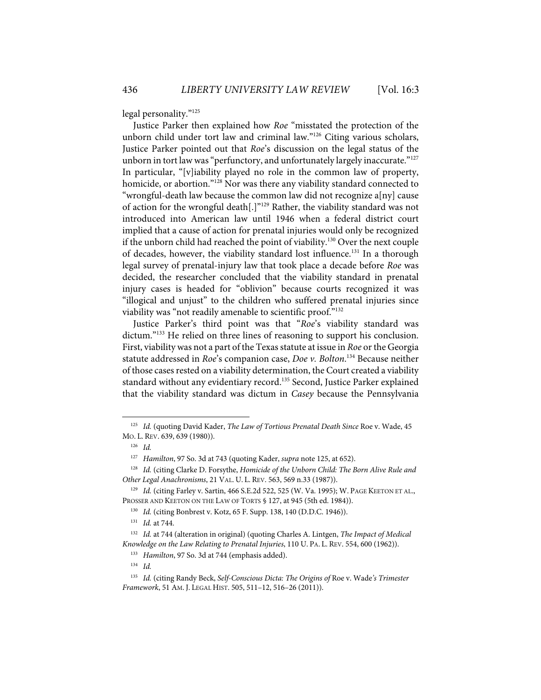legal personality."125

Justice Parker then explained how *Roe* "misstated the protection of the unborn child under tort law and criminal law."126 Citing various scholars, Justice Parker pointed out that *Roe*'s discussion on the legal status of the unborn in tort law was "perfunctory, and unfortunately largely inaccurate."<sup>127</sup> In particular, "[v]iability played no role in the common law of property, homicide, or abortion."<sup>128</sup> Nor was there any viability standard connected to "wrongful-death law because the common law did not recognize a[ny] cause of action for the wrongful death[.]"<sup>129</sup> Rather, the viability standard was not introduced into American law until 1946 when a federal district court implied that a cause of action for prenatal injuries would only be recognized if the unborn child had reached the point of viability.<sup>130</sup> Over the next couple of decades, however, the viability standard lost influence.<sup>131</sup> In a thorough legal survey of prenatal-injury law that took place a decade before *Roe* was decided, the researcher concluded that the viability standard in prenatal injury cases is headed for "oblivion" because courts recognized it was "illogical and unjust" to the children who suffered prenatal injuries since viability was "not readily amenable to scientific proof."132

Justice Parker's third point was that "*Roe*'s viability standard was dictum."<sup>133</sup> He relied on three lines of reasoning to support his conclusion. First, viability was not a part of the Texas statute at issue in *Roe* or the Georgia statute addressed in *Roe*'s companion case, *Doe v. Bolton*. <sup>134</sup> Because neither of those cases rested on a viability determination, the Court created a viability standard without any evidentiary record. <sup>135</sup> Second, Justice Parker explained that the viability standard was dictum in *Casey* because the Pennsylvania

<sup>125</sup> *Id.* (quoting David Kader, *The Law of Tortious Prenatal Death Since* Roe v. Wade, 45 MO. L. REV. 639, 639 (1980)).

<sup>126</sup> *Id.*

<sup>127</sup> *Hamilton*, 97 So. 3d at 743 (quoting Kader, *supra* note 125, at 652).

<sup>128</sup> *Id.* (citing Clarke D. Forsythe, *Homicide of the Unborn Child: The Born Alive Rule and Other Legal Anachronisms*, 21 VAL. U. L. REV. 563, 569 n.33 (1987)).

<sup>129</sup> *Id.* (citing Farley v. Sartin, 466 S.E.2d 522, 525 (W. Va. 1995); W. PAGE KEETON ET AL., PROSSER AND KEETON ON THE LAW OF TORTS § 127, at 945 (5th ed. 1984)).

<sup>130</sup> *Id.* (citing Bonbrest v. Kotz, 65 F. Supp. 138, 140 (D.D.C. 1946)).

<sup>131</sup> *Id.* at 744.

<sup>132</sup> *Id.* at 744 (alteration in original) (quoting Charles A. Lintgen, *The Impact of Medical Knowledge on the Law Relating to Prenatal Injuries*, 110 U. PA. L. REV. 554, 600 (1962)).

<sup>133</sup> *Hamilton*, 97 So. 3d at 744 (emphasis added).

<sup>134</sup> *Id.*

<sup>135</sup> *Id.* (citing Randy Beck, *Self-Conscious Dicta: The Origins of* Roe v. Wade*'s Trimester Framework*, 51 AM. J. LEGAL HIST. 505, 511–12, 516–26 (2011)).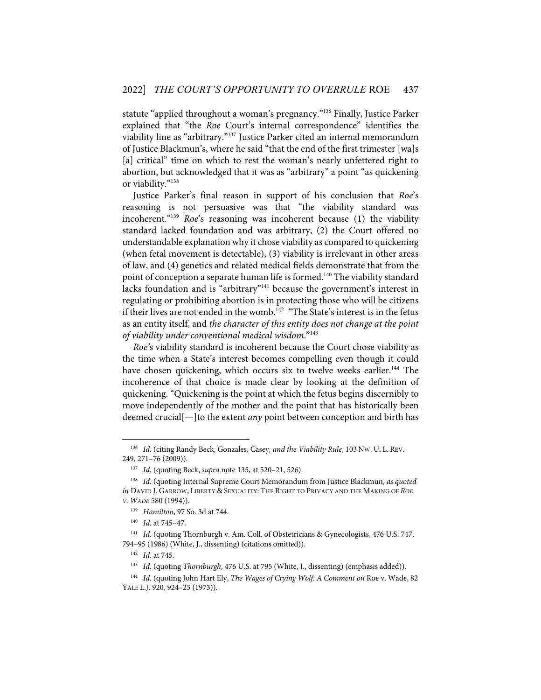statute "applied throughout a woman's pregnancy."136 Finally, Justice Parker explained that "the *Roe* Court's internal correspondence" identifies the viability line as "arbitrary."137 Justice Parker cited an internal memorandum of Justice Blackmun's, where he said "that the end of the first trimester [wa]s [a] critical" time on which to rest the woman's nearly unfettered right to abortion, but acknowledged that it was as "arbitrary" a point "as quickening or viability."<sup>138</sup>

Justice Parker's final reason in support of his conclusion that *Roe*'s reasoning is not persuasive was that "the viability standard was incoherent."139 *Roe*'s reasoning was incoherent because (1) the viability standard lacked foundation and was arbitrary, (2) the Court offered no understandable explanation why it chose viability as compared to quickening (when fetal movement is detectable), (3) viability is irrelevant in other areas of law, and (4) genetics and related medical fields demonstrate that from the point of conception a separate human life is formed.<sup>140</sup> The viability standard lacks foundation and is "arbitrary"141 because the government's interest in regulating or prohibiting abortion is in protecting those who will be citizens if their lives are not ended in the womb. 142 "The State's interest is in the fetus as an entity itself, and *the character of this entity does not change at the point of viability under conventional medical wisdom*."143

*Roe'*s viability standard is incoherent because the Court chose viability as the time when a State's interest becomes compelling even though it could have chosen quickening, which occurs six to twelve weeks earlier.<sup>144</sup> The incoherence of that choice is made clear by looking at the definition of quickening. "Quickening is the point at which the fetus begins discernibly to move independently of the mother and the point that has historically been deemed crucial[—]to the extent *any* point between conception and birth has

<sup>136</sup> *Id.* (citing Randy Beck, Gonzales*,* Casey*, and the Viability Rule*, 103 NW. U. L. REV. 249, 271–76 (2009)).

<sup>137</sup> *Id.* (quoting Beck, *supra* note 135, at 520–21, 526).

<sup>138</sup> *Id.* (quoting Internal Supreme Court Memorandum from Justice Blackmun, *as quoted in* DAVID J. GARROW, LIBERTY & SEXUALITY: THE RIGHT TO PRIVACY AND THE MAKING OF *ROE V. WADE* 580 (1994)).

<sup>139</sup> *Hamilton*, 97 So. 3d at 744.

<sup>140</sup> *Id.* at 745–47.

<sup>&</sup>lt;sup>141</sup> *Id.* (quoting Thornburgh v. Am. Coll. of Obstetricians & Gynecologists, 476 U.S. 747, 794–95 (1986) (White, J., dissenting) (citations omitted)).

<sup>142</sup> *Id.* at 745.

<sup>143</sup> *Id.* (quoting *Thornburgh*, 476 U.S. at 795 (White, J., dissenting) (emphasis added)).

<sup>144</sup> *Id.* (quoting John Hart Ely, *The Wages of Crying Wolf: A Comment on* Roe v. Wade, 82 YALE L.J. 920, 924–25 (1973)).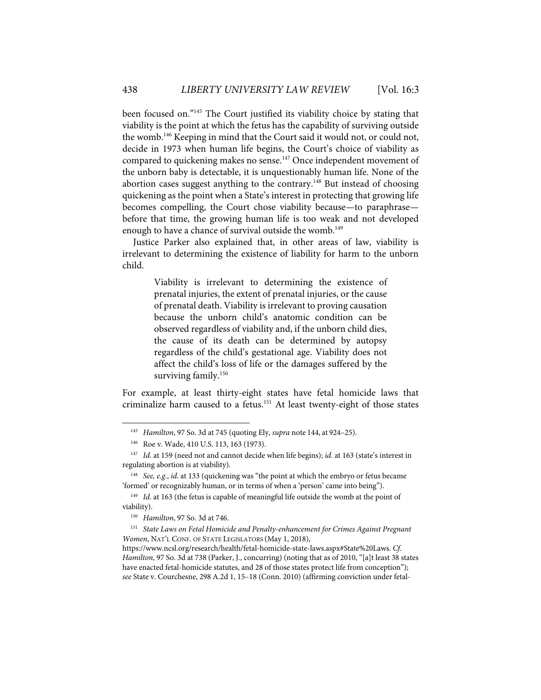been focused on."145 The Court justified its viability choice by stating that viability is the point at which the fetus has the capability of surviving outside the womb.146 Keeping in mind that the Court said it would not, or could not, decide in 1973 when human life begins, the Court's choice of viability as compared to quickening makes no sense.<sup>147</sup> Once independent movement of the unborn baby is detectable, it is unquestionably human life. None of the abortion cases suggest anything to the contrary.<sup>148</sup> But instead of choosing quickening as the point when a State's interest in protecting that growing life becomes compelling, the Court chose viability because—to paraphrase before that time, the growing human life is too weak and not developed enough to have a chance of survival outside the womb.<sup>149</sup>

Justice Parker also explained that, in other areas of law, viability is irrelevant to determining the existence of liability for harm to the unborn child.

> Viability is irrelevant to determining the existence of prenatal injuries, the extent of prenatal injuries, or the cause of prenatal death. Viability is irrelevant to proving causation because the unborn child's anatomic condition can be observed regardless of viability and, if the unborn child dies, the cause of its death can be determined by autopsy regardless of the child's gestational age. Viability does not affect the child's loss of life or the damages suffered by the surviving family.<sup>150</sup>

For example, at least thirty-eight states have fetal homicide laws that criminalize harm caused to a fetus.<sup>151</sup> At least twenty-eight of those states

<sup>145</sup> *Hamilton*, 97 So. 3d at 745 (quoting Ely, *supra* note 144, at 924–25).

<sup>146</sup> Roe v. Wade, 410 U.S. 113, 163 (1973).

<sup>147</sup> *Id.* at 159 (need not and cannot decide when life begins); *id.* at 163 (state's interest in regulating abortion is at viability).

<sup>148</sup> *See, e.g.*, *id*. at 133 (quickening was "the point at which the embryo or fetus became 'formed' or recognizably human, or in terms of when a 'person' came into being").

<sup>&</sup>lt;sup>149</sup> *Id.* at 163 (the fetus is capable of meaningful life outside the womb at the point of viability).

<sup>150</sup> *Hamilton*, 97 So. 3d at 746.

<sup>151</sup> *State Laws on Fetal Homicide and Penalty-enhancement for Crimes Against Pregnant Women*, NAT'L CONF. OF STATE LEGISLATORS (May 1, 2018),

https://www.ncsl.org/research/health/fetal-homicide-state-laws.aspx#State%20Laws. *Cf. Hamilton*, 97 So. 3d at 738 (Parker, J., concurring) (noting that as of 2010, "[a]t least 38 states have enacted fetal-homicide statutes, and 28 of those states protect life from conception"); *see* State v. Courchesne, 298 A.2d 1, 15–18 (Conn. 2010) (affirming conviction under fetal-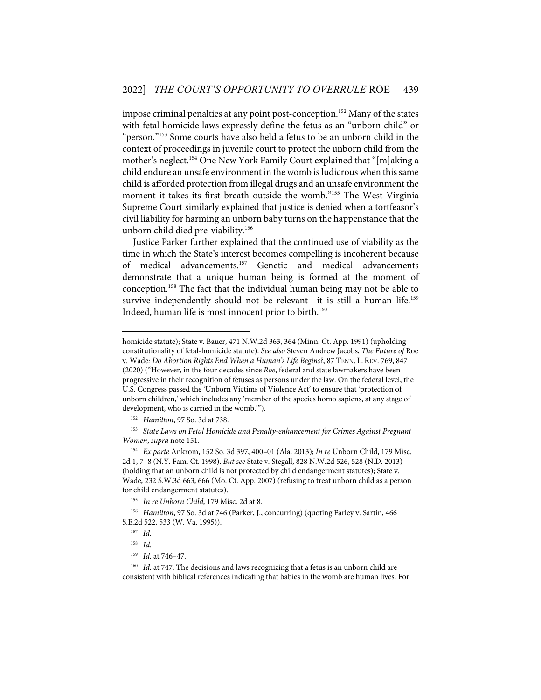impose criminal penalties at any point post-conception.<sup>152</sup> Many of the states with fetal homicide laws expressly define the fetus as an "unborn child" or "person."153 Some courts have also held a fetus to be an unborn child in the context of proceedings in juvenile court to protect the unborn child from the mother's neglect.<sup>154</sup> One New York Family Court explained that "[m]aking a child endure an unsafe environment in the womb is ludicrous when this same child is afforded protection from illegal drugs and an unsafe environment the moment it takes its first breath outside the womb."155 The West Virginia Supreme Court similarly explained that justice is denied when a tortfeasor's civil liability for harming an unborn baby turns on the happenstance that the unborn child died pre-viability. 156

Justice Parker further explained that the continued use of viability as the time in which the State's interest becomes compelling is incoherent because of medical advancements.157 Genetic and medical advancements demonstrate that a unique human being is formed at the moment of conception. <sup>158</sup> The fact that the individual human being may not be able to survive independently should not be relevant—it is still a human life.<sup>159</sup> Indeed, human life is most innocent prior to birth.<sup>160</sup>

153 *State Laws on Fetal Homicide and Penalty-enhancement for Crimes Against Pregnant Women*, *supra* note 151.

homicide statute); State v. Bauer, 471 N.W.2d 363, 364 (Minn. Ct. App. 1991) (upholding constitutionality of fetal-homicide statute). *See also* Steven Andrew Jacobs, *The Future of* Roe v. Wade*: Do Abortion Rights End When a Human's Life Begins?*, 87 TENN. L. REV. 769, 847 (2020) ("However, in the four decades since *Roe*, federal and state lawmakers have been progressive in their recognition of fetuses as persons under the law. On the federal level, the U.S. Congress passed the 'Unborn Victims of Violence Act' to ensure that 'protection of unborn children,' which includes any 'member of the species homo sapiens, at any stage of development, who is carried in the womb.'").

<sup>152</sup> *Hamilton*, 97 So. 3d at 738.

<sup>154</sup> *Ex parte* Ankrom, 152 So. 3d 397, 400–01 (Ala. 2013); *In re* Unborn Child, 179 Misc. 2d 1, 7–8 (N.Y. Fam. Ct. 1998). *But see* State v. Stegall, 828 N.W.2d 526, 528 (N.D. 2013) (holding that an unborn child is not protected by child endangerment statutes); State v. Wade, 232 S.W.3d 663, 666 (Mo. Ct. App. 2007) (refusing to treat unborn child as a person for child endangerment statutes).

<sup>155</sup> *In re Unborn Child*, 179 Misc. 2d at 8.

<sup>156</sup> *Hamilton*, 97 So. 3d at 746 (Parker, J., concurring) (quoting Farley v. Sartin, 466 S.E.2d 522, 533 (W. Va. 1995)).

<sup>157</sup> *Id.*

<sup>158</sup> *Id.*

<sup>159</sup> *Id.* at 746–47.

<sup>&</sup>lt;sup>160</sup> *Id.* at 747. The decisions and laws recognizing that a fetus is an unborn child are consistent with biblical references indicating that babies in the womb are human lives. For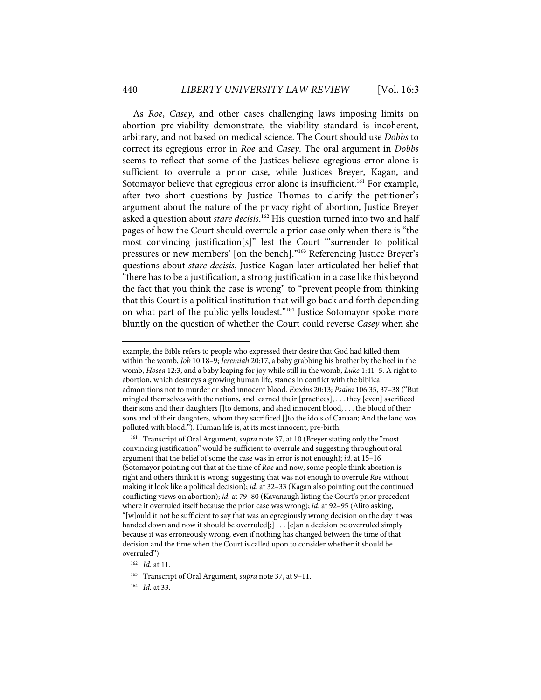As *Roe*, *Casey*, and other cases challenging laws imposing limits on abortion pre-viability demonstrate, the viability standard is incoherent, arbitrary, and not based on medical science. The Court should use *Dobbs* to correct its egregious error in *Roe* and *Casey*. The oral argument in *Dobbs* seems to reflect that some of the Justices believe egregious error alone is sufficient to overrule a prior case, while Justices Breyer, Kagan, and Sotomayor believe that egregious error alone is insufficient.<sup>161</sup> For example, after two short questions by Justice Thomas to clarify the petitioner's argument about the nature of the privacy right of abortion, Justice Breyer asked a question about *stare decisis*. <sup>162</sup> His question turned into two and half pages of how the Court should overrule a prior case only when there is "the most convincing justification[s]" lest the Court "'surrender to political pressures or new members' [on the bench]."163 Referencing Justice Breyer's questions about *stare decisis*, Justice Kagan later articulated her belief that "there has to be a justification, a strong justification in a case like this beyond the fact that you think the case is wrong" to "prevent people from thinking that this Court is a political institution that will go back and forth depending on what part of the public yells loudest."<sup>164</sup> Justice Sotomayor spoke more bluntly on the question of whether the Court could reverse *Casey* when she

example, the Bible refers to people who expressed their desire that God had killed them within the womb, *Job* 10:18–9; *Jeremiah* 20:17, a baby grabbing his brother by the heel in the womb, *Hosea* 12:3, and a baby leaping for joy while still in the womb, *Luke* 1:41–5. A right to abortion, which destroys a growing human life, stands in conflict with the biblical admonitions not to murder or shed innocent blood. *Exodus* 20:13; *Psalm* 106:35, 37–38 ("But mingled themselves with the nations, and learned their [practices], . . . they [even] sacrificed their sons and their daughters []to demons, and shed innocent blood, . . . the blood of their sons and of their daughters, whom they sacrificed []to the idols of Canaan; And the land was polluted with blood."). Human life is, at its most innocent, pre-birth.

<sup>&</sup>lt;sup>161</sup> Transcript of Oral Argument, *supra* note 37, at 10 (Breyer stating only the "most convincing justification" would be sufficient to overrule and suggesting throughout oral argument that the belief of some the case was in error is not enough); *id*. at 15–16 (Sotomayor pointing out that at the time of *Roe* and now, some people think abortion is right and others think it is wrong; suggesting that was not enough to overrule *Roe* without making it look like a political decision); *id*. at 32–33 (Kagan also pointing out the continued conflicting views on abortion); *id*. at 79–80 (Kavanaugh listing the Court's prior precedent where it overruled itself because the prior case was wrong); *id*. at 92–95 (Alito asking, "[w]ould it not be sufficient to say that was an egregiously wrong decision on the day it was handed down and now it should be overruled[;] . . . [c]an a decision be overruled simply because it was erroneously wrong, even if nothing has changed between the time of that decision and the time when the Court is called upon to consider whether it should be overruled").

<sup>162</sup> *Id.* at 11.

<sup>163</sup> Transcript of Oral Argument, *supra* note 37, at 9–11.

<sup>164</sup> *Id.* at 33.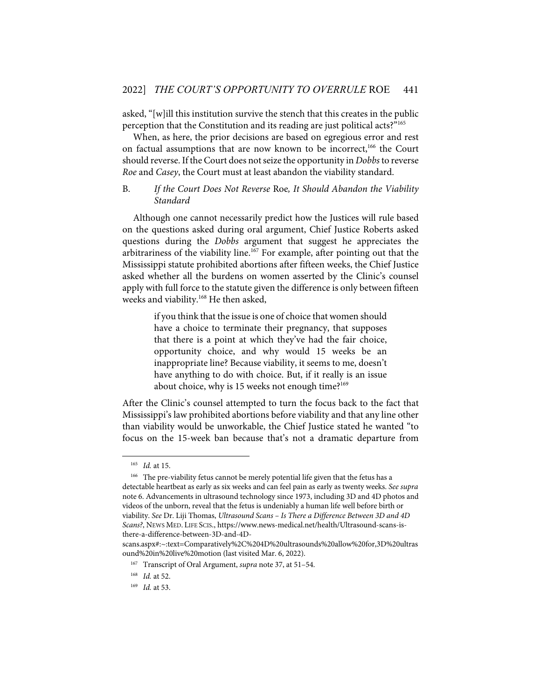asked, "[w]ill this institution survive the stench that this creates in the public perception that the Constitution and its reading are just political acts?"165

When, as here, the prior decisions are based on egregious error and rest on factual assumptions that are now known to be incorrect,<sup>166</sup> the Court should reverse. If the Court does not seize the opportunity in *Dobbs* to reverse *Roe* and *Casey*, the Court must at least abandon the viability standard.

## B. *If the Court Does Not Reverse* Roe*, It Should Abandon the Viability Standard*

Although one cannot necessarily predict how the Justices will rule based on the questions asked during oral argument, Chief Justice Roberts asked questions during the *Dobbs* argument that suggest he appreciates the arbitrariness of the viability line.<sup>167</sup> For example, after pointing out that the Mississippi statute prohibited abortions after fifteen weeks, the Chief Justice asked whether all the burdens on women asserted by the Clinic's counsel apply with full force to the statute given the difference is only between fifteen weeks and viability. <sup>168</sup> He then asked,

> if you think that the issue is one of choice that women should have a choice to terminate their pregnancy, that supposes that there is a point at which they've had the fair choice, opportunity choice, and why would 15 weeks be an inappropriate line? Because viability, it seems to me, doesn't have anything to do with choice. But, if it really is an issue about choice, why is 15 weeks not enough time?<sup>169</sup>

After the Clinic's counsel attempted to turn the focus back to the fact that Mississippi's law prohibited abortions before viability and that any line other than viability would be unworkable, the Chief Justice stated he wanted "to focus on the 15-week ban because that's not a dramatic departure from

<sup>165</sup> *Id.* at 15.

<sup>&</sup>lt;sup>166</sup> The pre-viability fetus cannot be merely potential life given that the fetus has a detectable heartbeat as early as six weeks and can feel pain as early as twenty weeks. *See supra*  note 6. Advancements in ultrasound technology since 1973, including 3D and 4D photos and videos of the unborn, reveal that the fetus is undeniably a human life well before birth or viability. *See* Dr. Liji Thomas, *Ultrasound Scans – Is There a Difference Between 3D and 4D Scans?*, NEWS MED. LIFE SCIS., https://www.news-medical.net/health/Ultrasound-scans-isthere-a-difference-between-3D-and-4D-

scans.aspx#:~:text=Comparatively%2C%204D%20ultrasounds%20allow%20for,3D%20ultras ound%20in%20live%20motion (last visited Mar. 6, 2022).

<sup>167</sup> Transcript of Oral Argument, *supra* note 37, at 51–54.

<sup>168</sup> *Id.* at 52.

<sup>169</sup> *Id.* at 53.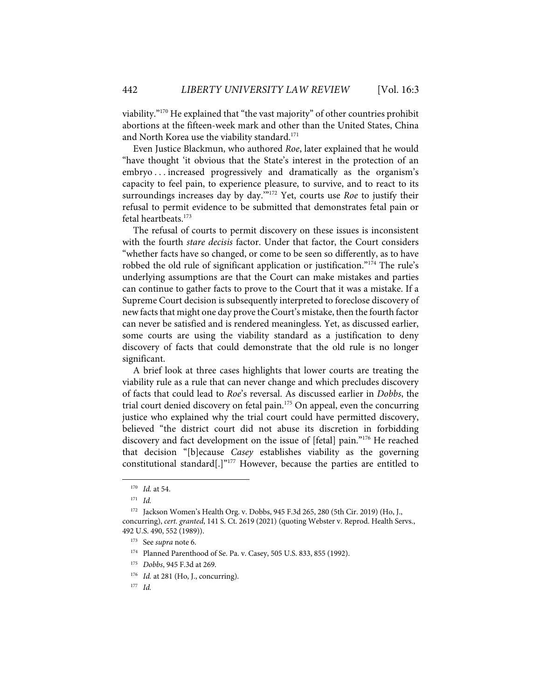viability."170 He explained that "the vast majority" of other countries prohibit abortions at the fifteen-week mark and other than the United States, China and North Korea use the viability standard. 171

Even Justice Blackmun, who authored *Roe*, later explained that he would "have thought 'it obvious that the State's interest in the protection of an embryo . . . increased progressively and dramatically as the organism's capacity to feel pain, to experience pleasure, to survive, and to react to its surroundings increases day by day.<sup>""172</sup> Yet, courts use *Roe* to justify their refusal to permit evidence to be submitted that demonstrates fetal pain or fetal heartbeats. 173

The refusal of courts to permit discovery on these issues is inconsistent with the fourth *stare decisis* factor. Under that factor, the Court considers "whether facts have so changed, or come to be seen so differently, as to have robbed the old rule of significant application or justification."<sup>174</sup> The rule's underlying assumptions are that the Court can make mistakes and parties can continue to gather facts to prove to the Court that it was a mistake. If a Supreme Court decision is subsequently interpreted to foreclose discovery of new facts that might one day prove the Court's mistake, then the fourth factor can never be satisfied and is rendered meaningless. Yet, as discussed earlier, some courts are using the viability standard as a justification to deny discovery of facts that could demonstrate that the old rule is no longer significant.

A brief look at three cases highlights that lower courts are treating the viability rule as a rule that can never change and which precludes discovery of facts that could lead to *Roe*'s reversal. As discussed earlier in *Dobbs*, the trial court denied discovery on fetal pain.<sup>175</sup> On appeal, even the concurring justice who explained why the trial court could have permitted discovery, believed "the district court did not abuse its discretion in forbidding discovery and fact development on the issue of [fetal] pain."<sup>176</sup> He reached that decision "[b]ecause *Casey* establishes viability as the governing constitutional standard[.]"177 However, because the parties are entitled to

<sup>170</sup> *Id.* at 54.

<sup>171</sup> *Id.* 

<sup>172</sup> Jackson Women's Health Org. v. Dobbs, 945 F.3d 265, 280 (5th Cir. 2019) (Ho, J., concurring), *cert. granted*, 141 S. Ct. 2619 (2021) (quoting Webster v. Reprod. Health Servs., 492 U.S. 490, 552 (1989)).

<sup>173</sup> See *supra* note 6.

<sup>174</sup> Planned Parenthood of Se. Pa. v. Casey, 505 U.S. 833, 855 (1992).

<sup>175</sup> *Dobbs*, 945 F.3d at 269.

<sup>&</sup>lt;sup>176</sup> *Id.* at 281 (Ho, J., concurring).

<sup>177</sup> *Id.*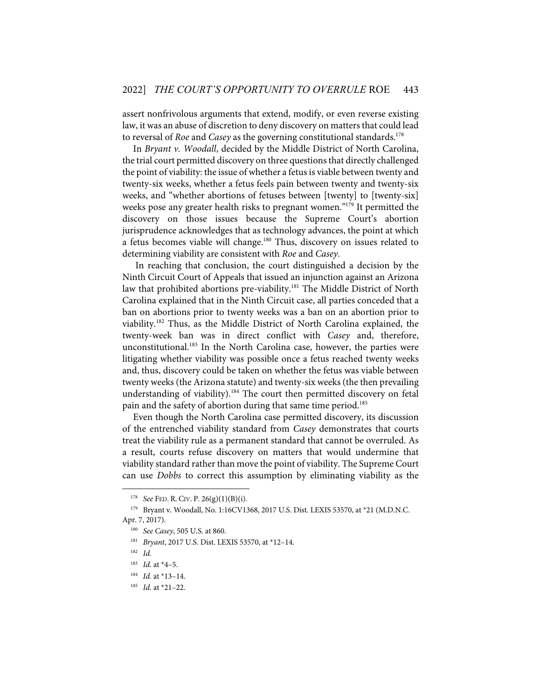assert nonfrivolous arguments that extend, modify, or even reverse existing law, it was an abuse of discretion to deny discovery on matters that could lead to reversal of *Roe* and *Casey* as the governing constitutional standards.<sup>178</sup>

In *Bryant v. Woodall*, decided by the Middle District of North Carolina, the trial court permitted discovery on three questions that directly challenged the point of viability: the issue of whether a fetus is viable between twenty and twenty-six weeks, whether a fetus feels pain between twenty and twenty-six weeks, and "whether abortions of fetuses between [twenty] to [twenty-six] weeks pose any greater health risks to pregnant women."<sup>179</sup> It permitted the discovery on those issues because the Supreme Court's abortion jurisprudence acknowledges that as technology advances, the point at which a fetus becomes viable will change.<sup>180</sup> Thus, discovery on issues related to determining viability are consistent with *Roe* and *Casey*.

In reaching that conclusion, the court distinguished a decision by the Ninth Circuit Court of Appeals that issued an injunction against an Arizona law that prohibited abortions pre-viability.<sup>181</sup> The Middle District of North Carolina explained that in the Ninth Circuit case, all parties conceded that a ban on abortions prior to twenty weeks was a ban on an abortion prior to viability.182 Thus, as the Middle District of North Carolina explained, the twenty-week ban was in direct conflict with *Casey* and, therefore, unconstitutional.<sup>183</sup> In the North Carolina case, however, the parties were litigating whether viability was possible once a fetus reached twenty weeks and, thus, discovery could be taken on whether the fetus was viable between twenty weeks (the Arizona statute) and twenty-six weeks (the then prevailing understanding of viability). <sup>184</sup> The court then permitted discovery on fetal pain and the safety of abortion during that same time period.<sup>185</sup>

Even though the North Carolina case permitted discovery, its discussion of the entrenched viability standard from *Casey* demonstrates that courts treat the viability rule as a permanent standard that cannot be overruled. As a result, courts refuse discovery on matters that would undermine that viability standard rather than move the point of viability. The Supreme Court can use *Dobbs* to correct this assumption by eliminating viability as the

<sup>178</sup> *See* FED. R. CIV. P. 26(g)(1)(B)(i).

<sup>179</sup> Bryant v. Woodall, No. 1:16CV1368, 2017 U.S. Dist. LEXIS 53570, at \*21 (M.D.N.C. Apr. 7, 2017).

<sup>180</sup> *See Casey*, 505 U.S. at 860.

<sup>181</sup> *Bryant*, 2017 U.S. Dist. LEXIS 53570, at \*12–14.

<sup>182</sup> *Id.*

<sup>183</sup> *Id.* at \*4–5.

<sup>184</sup> *Id.* at \*13–14.

<sup>185</sup> *Id.* at \*21–22.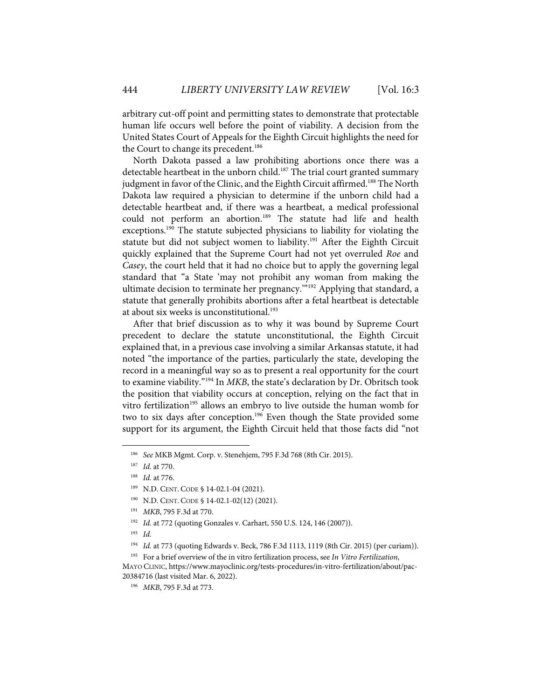arbitrary cut-off point and permitting states to demonstrate that protectable human life occurs well before the point of viability. A decision from the United States Court of Appeals for the Eighth Circuit highlights the need for the Court to change its precedent.<sup>186</sup>

North Dakota passed a law prohibiting abortions once there was a detectable heartbeat in the unborn child.<sup>187</sup> The trial court granted summary judgment in favor of the Clinic, and the Eighth Circuit affirmed.<sup>188</sup> The North Dakota law required a physician to determine if the unborn child had a detectable heartbeat and, if there was a heartbeat, a medical professional could not perform an abortion.<sup>189</sup> The statute had life and health exceptions.<sup>190</sup> The statute subjected physicians to liability for violating the statute but did not subject women to liability.<sup>191</sup> After the Eighth Circuit quickly explained that the Supreme Court had not yet overruled *Roe* and *Casey*, the court held that it had no choice but to apply the governing legal standard that "a State 'may not prohibit any woman from making the ultimate decision to terminate her pregnancy.<sup>"192</sup> Applying that standard, a statute that generally prohibits abortions after a fetal heartbeat is detectable at about six weeks is unconstitutional.<sup>193</sup>

After that brief discussion as to why it was bound by Supreme Court precedent to declare the statute unconstitutional, the Eighth Circuit explained that, in a previous case involving a similar Arkansas statute, it had noted "the importance of the parties, particularly the state, developing the record in a meaningful way so as to present a real opportunity for the court to examine viability."194 In *MKB*, the state's declaration by Dr. Obritsch took the position that viability occurs at conception, relying on the fact that in vitro fertilization<sup>195</sup> allows an embryo to live outside the human womb for two to six days after conception.<sup>196</sup> Even though the State provided some support for its argument, the Eighth Circuit held that those facts did "not

<sup>186</sup> *See* MKB Mgmt. Corp. v. Stenehjem, 795 F.3d 768 (8th Cir. 2015).

<sup>187</sup> *Id*. at 770.

<sup>188</sup> *Id.* at 776.

<sup>189</sup> N.D. CENT. CODE § 14-02.1-04 (2021).

<sup>190</sup> N.D. CENT. CODE § 14-02.1-02(12) (2021).

<sup>191</sup> *MKB*, 795 F.3d at 770.

<sup>&</sup>lt;sup>192</sup> *Id.* at 772 (quoting Gonzales v. Carhart, 550 U.S. 124, 146 (2007)).

<sup>193</sup> *Id.*

<sup>194</sup> *Id.* at 773 (quoting Edwards v. Beck, 786 F.3d 1113, 1119 (8th Cir. 2015) (per curiam)).

<sup>195</sup> For a brief overview of the in vitro fertilization process, see *In Vitro Fertilization*,

MAYO CLINIC, https://www.mayoclinic.org/tests-procedures/in-vitro-fertilization/about/pac-20384716 (last visited Mar. 6, 2022).

<sup>196</sup> *MKB*, 795 F.3d at 773.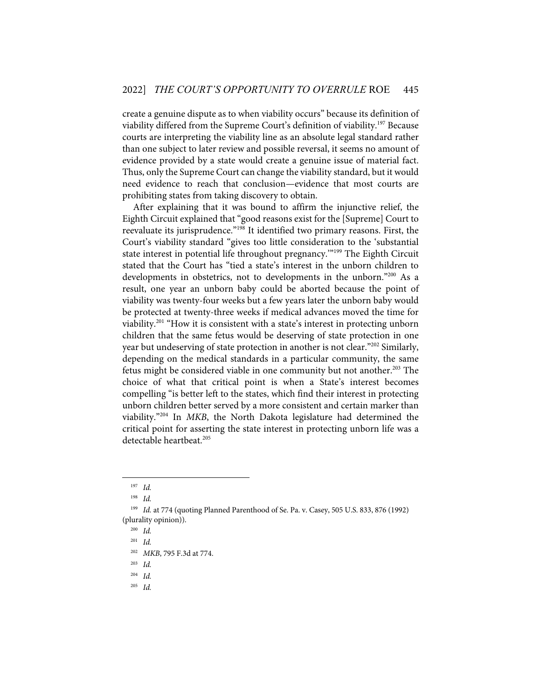create a genuine dispute as to when viability occurs" because its definition of viability differed from the Supreme Court's definition of viability. <sup>197</sup> Because courts are interpreting the viability line as an absolute legal standard rather than one subject to later review and possible reversal, it seems no amount of evidence provided by a state would create a genuine issue of material fact. Thus, only the Supreme Court can change the viability standard, but it would need evidence to reach that conclusion—evidence that most courts are prohibiting states from taking discovery to obtain.

After explaining that it was bound to affirm the injunctive relief, the Eighth Circuit explained that "good reasons exist for the [Supreme] Court to reevaluate its jurisprudence."198 It identified two primary reasons. First, the Court's viability standard "gives too little consideration to the 'substantial state interest in potential life throughout pregnancy."<sup>199</sup> The Eighth Circuit stated that the Court has "tied a state's interest in the unborn children to developments in obstetrics, not to developments in the unborn."200 As a result, one year an unborn baby could be aborted because the point of viability was twenty-four weeks but a few years later the unborn baby would be protected at twenty-three weeks if medical advances moved the time for viability.201 "How it is consistent with a state's interest in protecting unborn children that the same fetus would be deserving of state protection in one year but undeserving of state protection in another is not clear."202 Similarly, depending on the medical standards in a particular community, the same fetus might be considered viable in one community but not another.<sup>203</sup> The choice of what that critical point is when a State's interest becomes compelling "is better left to the states, which find their interest in protecting unborn children better served by a more consistent and certain marker than viability."204 In *MKB*, the North Dakota legislature had determined the critical point for asserting the state interest in protecting unborn life was a detectable heartbeat.<sup>205</sup>

<sup>197</sup> *Id.*

<sup>198</sup> *Id.*

<sup>199</sup> *Id.* at 774 (quoting Planned Parenthood of Se. Pa. v. Casey, 505 U.S. 833, 876 (1992) (plurality opinion)).

<sup>200</sup> *Id.*

<sup>201</sup> *Id.*

<sup>202</sup> *MKB*, 795 F.3d at 774.

<sup>203</sup> *Id.*

<sup>204</sup> *Id.*

<sup>205</sup> *Id.*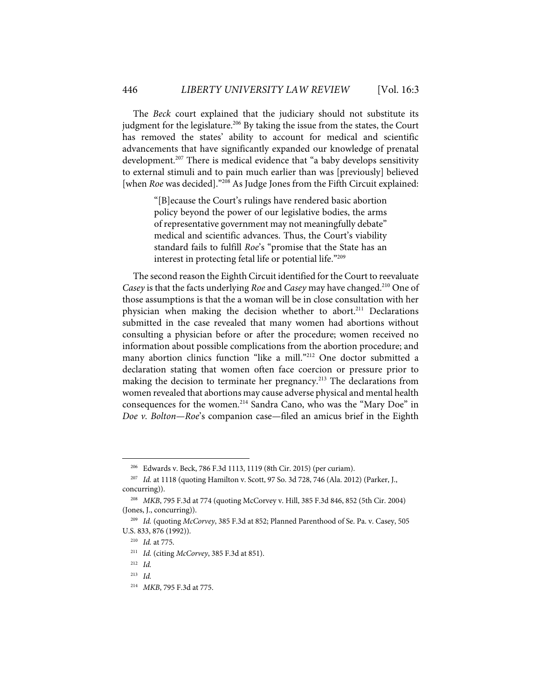The *Beck* court explained that the judiciary should not substitute its judgment for the legislature.<sup>206</sup> By taking the issue from the states, the Court has removed the states' ability to account for medical and scientific advancements that have significantly expanded our knowledge of prenatal development. <sup>207</sup> There is medical evidence that "a baby develops sensitivity to external stimuli and to pain much earlier than was [previously] believed [when *Roe* was decided]."<sup>208</sup> As Judge Jones from the Fifth Circuit explained:

> "[B]ecause the Court's rulings have rendered basic abortion policy beyond the power of our legislative bodies, the arms of representative government may not meaningfully debate" medical and scientific advances. Thus, the Court's viability standard fails to fulfill *Roe*'s "promise that the State has an interest in protecting fetal life or potential life."209

The second reason the Eighth Circuit identified for the Court to reevaluate *Casey* is that the facts underlying *Roe* and *Casey* may have changed.<sup>210</sup> One of those assumptions is that the a woman will be in close consultation with her physician when making the decision whether to abort. <sup>211</sup> Declarations submitted in the case revealed that many women had abortions without consulting a physician before or after the procedure; women received no information about possible complications from the abortion procedure; and many abortion clinics function "like a mill."212 One doctor submitted a declaration stating that women often face coercion or pressure prior to making the decision to terminate her pregnancy. <sup>213</sup> The declarations from women revealed that abortions may cause adverse physical and mental health consequences for the women. <sup>214</sup> Sandra Cano, who was the "Mary Doe" in *Doe v. Bolton*—*Roe*'s companion case—filed an amicus brief in the Eighth

<sup>206</sup>Edwards v. Beck, 786 F.3d 1113, 1119 (8th Cir. 2015) (per curiam).

<sup>207</sup> *Id.* at 1118 (quoting Hamilton v. Scott, 97 So. 3d 728, 746 (Ala. 2012) (Parker, J., concurring)).

<sup>208</sup> *MKB*, 795 F.3d at 774 (quoting McCorvey v. Hill, 385 F.3d 846, 852 (5th Cir. 2004) (Jones, J., concurring)).

<sup>209</sup> *Id.* (quoting *McCorvey*, 385 F.3d at 852; Planned Parenthood of Se. Pa. v. Casey, 505 U.S. 833, 876 (1992)).

<sup>210</sup> *Id.* at 775.

<sup>211</sup> *Id.* (citing *McCorvey*, 385 F.3d at 851).

<sup>212</sup> *Id.*

<sup>213</sup> *Id.*

<sup>214</sup> *MKB*, 795 F.3d at 775.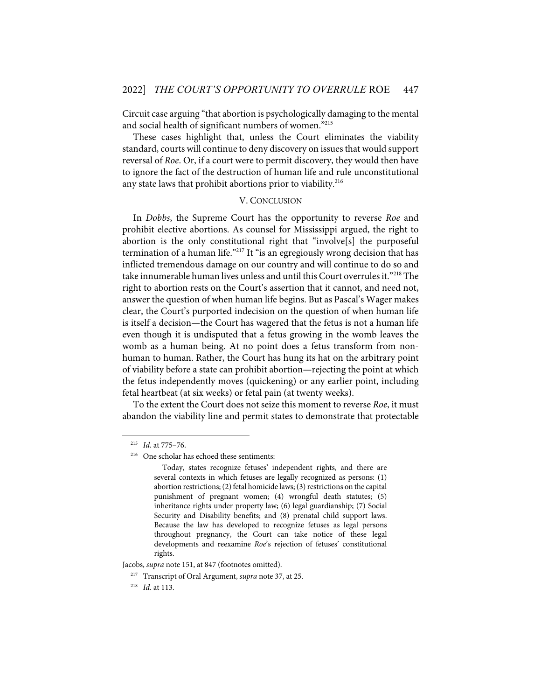Circuit case arguing "that abortion is psychologically damaging to the mental and social health of significant numbers of women."215

These cases highlight that, unless the Court eliminates the viability standard, courts will continue to deny discovery on issues that would support reversal of *Roe*. Or, if a court were to permit discovery, they would then have to ignore the fact of the destruction of human life and rule unconstitutional any state laws that prohibit abortions prior to viability.<sup>216</sup>

#### V. CONCLUSION

In *Dobbs*, the Supreme Court has the opportunity to reverse *Roe* and prohibit elective abortions. As counsel for Mississippi argued, the right to abortion is the only constitutional right that "involve[s] the purposeful termination of a human life."<sup>217</sup> It "is an egregiously wrong decision that has inflicted tremendous damage on our country and will continue to do so and take innumerable human lives unless and until this Court overrules it."218 The right to abortion rests on the Court's assertion that it cannot, and need not, answer the question of when human life begins. But as Pascal's Wager makes clear, the Court's purported indecision on the question of when human life is itself a decision—the Court has wagered that the fetus is not a human life even though it is undisputed that a fetus growing in the womb leaves the womb as a human being. At no point does a fetus transform from nonhuman to human. Rather, the Court has hung its hat on the arbitrary point of viability before a state can prohibit abortion—rejecting the point at which the fetus independently moves (quickening) or any earlier point, including fetal heartbeat (at six weeks) or fetal pain (at twenty weeks).

To the extent the Court does not seize this moment to reverse *Roe*, it must abandon the viability line and permit states to demonstrate that protectable

Jacobs, *supra* note 151, at 847 (footnotes omitted).

<sup>215</sup> *Id.* at 775–76.

<sup>216</sup> One scholar has echoed these sentiments:

Today, states recognize fetuses' independent rights, and there are several contexts in which fetuses are legally recognized as persons: (1) abortion restrictions; (2) fetal homicide laws; (3) restrictions on the capital punishment of pregnant women; (4) wrongful death statutes; (5) inheritance rights under property law; (6) legal guardianship; (7) Social Security and Disability benefits; and (8) prenatal child support laws. Because the law has developed to recognize fetuses as legal persons throughout pregnancy, the Court can take notice of these legal developments and reexamine *Roe*'s rejection of fetuses' constitutional rights.

<sup>217</sup> Transcript of Oral Argument, *supra* note 37, at 25.

<sup>218</sup> *Id.* at 113.